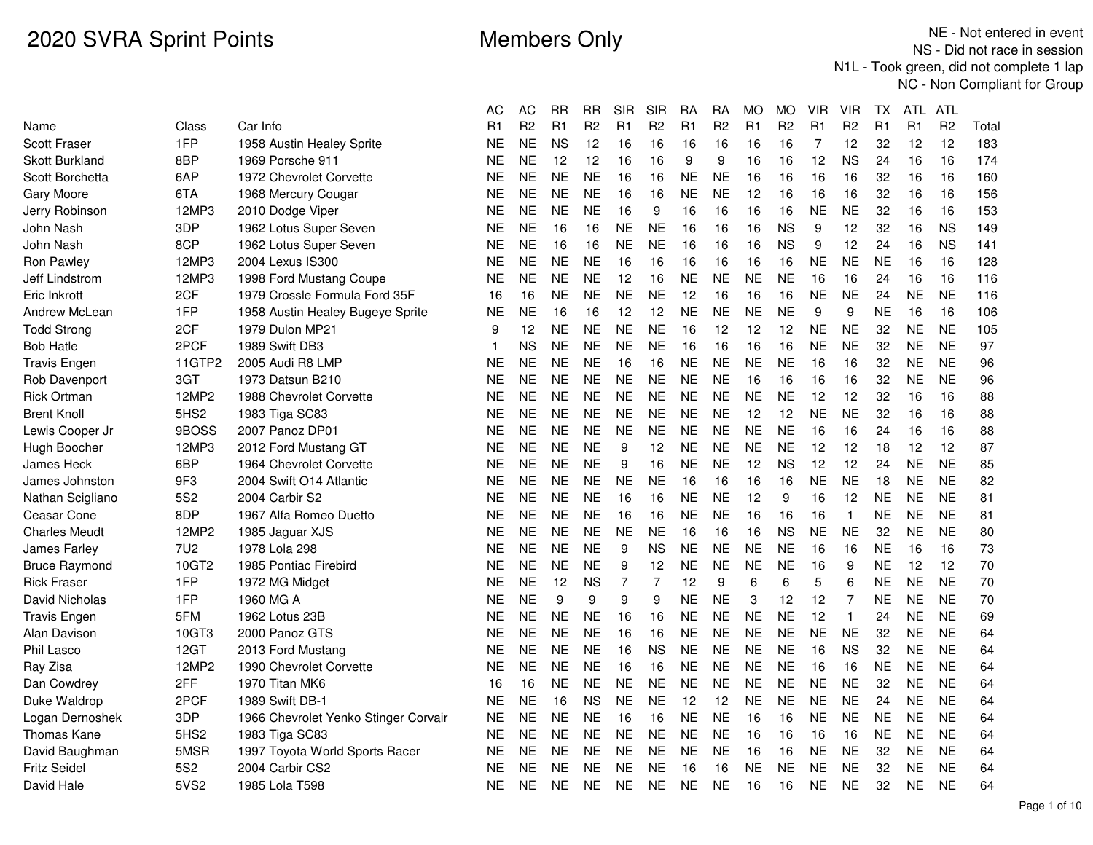|                       |                 |                                      | АC        | АC             | RR        | RR             | SIR       | <b>SIR</b>     | RA        | RA             | MO        | MO             | VIR            | VIR            | TХ        | ATL.      | ATL            |       |
|-----------------------|-----------------|--------------------------------------|-----------|----------------|-----------|----------------|-----------|----------------|-----------|----------------|-----------|----------------|----------------|----------------|-----------|-----------|----------------|-------|
| Name                  | Class           | Car Info                             | R1        | R <sub>2</sub> | R1        | R <sub>2</sub> | R1        | R <sub>2</sub> | R1        | R <sub>2</sub> | R1        | R <sub>2</sub> | R <sub>1</sub> | R <sub>2</sub> | R1        | R1        | R <sub>2</sub> | Total |
| Scott Fraser          | 1FP             | 1958 Austin Healey Sprite            | <b>NE</b> | <b>NE</b>      | <b>NS</b> | 12             | 16        | 16             | 16        | 16             | 16        | 16             | 7              | 12             | 32        | 12        | 12             | 183   |
| <b>Skott Burkland</b> | 8BP             | 1969 Porsche 911                     | <b>NE</b> | <b>NE</b>      | 12        | 12             | 16        | 16             | 9         | 9              | 16        | 16             | 12             | <b>NS</b>      | 24        | 16        | 16             | 174   |
| Scott Borchetta       | 6AP             | 1972 Chevrolet Corvette              | <b>NE</b> | <b>NE</b>      | <b>NE</b> | <b>NE</b>      | 16        | 16             | <b>NE</b> | <b>NE</b>      | 16        | 16             | 16             | 16             | 32        | 16        | 16             | 160   |
| Gary Moore            | 6TA             | 1968 Mercury Cougar                  | NE        | <b>NE</b>      | <b>NE</b> | <b>NE</b>      | 16        | 16             | <b>NE</b> | <b>NE</b>      | 12        | 16             | 16             | 16             | 32        | 16        | 16             | 156   |
| Jerry Robinson        | 12MP3           | 2010 Dodge Viper                     | NE        | <b>NE</b>      | <b>NE</b> | <b>NE</b>      | 16        | 9              | 16        | 16             | 16        | 16             | <b>NE</b>      | <b>NE</b>      | 32        | 16        | 16             | 153   |
| John Nash             | 3DP             | 1962 Lotus Super Seven               | <b>NE</b> | <b>NE</b>      | 16        | 16             | <b>NE</b> | <b>NE</b>      | 16        | 16             | 16        | <b>NS</b>      | 9              | 12             | 32        | 16        | <b>NS</b>      | 149   |
| John Nash             | 8CP             | 1962 Lotus Super Seven               | <b>NE</b> | <b>NE</b>      | 16        | 16             | <b>NE</b> | <b>NE</b>      | 16        | 16             | 16        | <b>NS</b>      | 9              | 12             | 24        | 16        | <b>NS</b>      | 141   |
| Ron Pawley            | 12MP3           | 2004 Lexus IS300                     | NE        | <b>NE</b>      | <b>NE</b> | <b>NE</b>      | 16        | 16             | 16        | 16             | 16        | 16             | <b>NE</b>      | <b>NE</b>      | <b>NE</b> | 16        | 16             | 128   |
| Jeff Lindstrom        | 12MP3           | 1998 Ford Mustang Coupe              | <b>NE</b> | <b>NE</b>      | <b>NE</b> | <b>NE</b>      | 12        | 16             | <b>NE</b> | <b>NE</b>      | <b>NE</b> | <b>NE</b>      | 16             | 16             | 24        | 16        | 16             | 116   |
| Eric Inkrott          | 2CF             | 1979 Crossle Formula Ford 35F        | 16        | 16             | <b>NE</b> | <b>NE</b>      | <b>NE</b> | NE             | 12        | 16             | 16        | 16             | <b>NE</b>      | <b>NE</b>      | 24        | <b>NE</b> | <b>NE</b>      | 116   |
| Andrew McLean         | 1FP             | 1958 Austin Healey Bugeye Sprite     | <b>NE</b> | <b>NE</b>      | 16        | 16             | 12        | 12             | <b>NE</b> | <b>NE</b>      | <b>NE</b> | <b>NE</b>      | 9              | 9              | <b>NE</b> | 16        | 16             | 106   |
| <b>Todd Strong</b>    | 2CF             | 1979 Dulon MP21                      | 9         | 12             | <b>NE</b> | <b>NE</b>      | <b>NE</b> | <b>NE</b>      | 16        | 12             | 12        | 12             | <b>NE</b>      | <b>NE</b>      | 32        | <b>NE</b> | <b>NE</b>      | 105   |
| <b>Bob Hatle</b>      | 2PCF            | 1989 Swift DB3                       | 1         | <b>NS</b>      | <b>NE</b> | <b>NE</b>      | <b>NE</b> | <b>NE</b>      | 16        | 16             | 16        | 16             | <b>NE</b>      | <b>NE</b>      | 32        | <b>NE</b> | <b>NE</b>      | 97    |
| <b>Travis Engen</b>   | 11GTP2          | 2005 Audi R8 LMP                     | <b>NE</b> | <b>NE</b>      | <b>NE</b> | <b>NE</b>      | 16        | 16             | <b>NE</b> | <b>NE</b>      | <b>NE</b> | <b>NE</b>      | 16             | 16             | 32        | <b>NE</b> | <b>NE</b>      | 96    |
| Rob Davenport         | 3GT             | 1973 Datsun B210                     | <b>NE</b> | <b>NE</b>      | <b>NE</b> | <b>NE</b>      | <b>NE</b> | <b>NE</b>      | <b>NE</b> | <b>NE</b>      | 16        | 16             | 16             | 16             | 32        | <b>NE</b> | <b>NE</b>      | 96    |
| <b>Rick Ortman</b>    | 12MP2           | 1988 Chevrolet Corvette              | <b>NE</b> | <b>NE</b>      | <b>NE</b> | <b>NE</b>      | <b>NE</b> | <b>NE</b>      | <b>NE</b> | <b>NE</b>      | <b>NE</b> | <b>NE</b>      | 12             | 12             | 32        | 16        | 16             | 88    |
| <b>Brent Knoll</b>    | 5HS2            | 1983 Tiga SC83                       | <b>NE</b> | <b>NE</b>      | <b>NE</b> | <b>NE</b>      | <b>NE</b> | <b>NE</b>      | <b>NE</b> | <b>NE</b>      | 12        | 12             | <b>NE</b>      | <b>NE</b>      | 32        | 16        | 16             | 88    |
| Lewis Cooper Jr       | 9BOSS           | 2007 Panoz DP01                      | <b>NE</b> | <b>NE</b>      | <b>NE</b> | <b>NE</b>      | <b>NE</b> | <b>NE</b>      | <b>NE</b> | <b>NE</b>      | <b>NE</b> | <b>NE</b>      | 16             | 16             | 24        | 16        | 16             | 88    |
| Hugh Boocher          | 12MP3           | 2012 Ford Mustang GT                 | NE        | <b>NE</b>      | <b>NE</b> | <b>NE</b>      | 9         | 12             | <b>NE</b> | <b>NE</b>      | <b>NE</b> | <b>NE</b>      | 12             | 12             | 18        | 12        | 12             | 87    |
| James Heck            | 6BP             | 1964 Chevrolet Corvette              | <b>NE</b> | <b>NE</b>      | <b>NE</b> | <b>NE</b>      | 9         | 16             | <b>NE</b> | <b>NE</b>      | 12        | <b>NS</b>      | 12             | 12             | 24        | <b>NE</b> | <b>NE</b>      | 85    |
| James Johnston        | 9F3             | 2004 Swift O14 Atlantic              | NE        | <b>NE</b>      | <b>NE</b> | <b>NE</b>      | <b>NE</b> | NE             | 16        | 16             | 16        | 16             | <b>NE</b>      | <b>NE</b>      | 18        | <b>NE</b> | <b>NE</b>      | 82    |
| Nathan Scigliano      | 5S <sub>2</sub> | 2004 Carbir S2                       | <b>NE</b> | <b>NE</b>      | <b>NE</b> | <b>NE</b>      | 16        | 16             | <b>NE</b> | <b>NE</b>      | 12        | 9              | 16             | 12             | <b>NE</b> | <b>NE</b> | <b>NE</b>      | 81    |
| Ceasar Cone           | 8DP             | 1967 Alfa Romeo Duetto               | NE        | <b>NE</b>      | <b>NE</b> | <b>NE</b>      | 16        | 16             | <b>NE</b> | <b>NE</b>      | 16        | 16             | 16             | $\mathbf{1}$   | <b>NE</b> | <b>NE</b> | <b>NE</b>      | 81    |
| <b>Charles Meudt</b>  | 12MP2           | 1985 Jaguar XJS                      | NE        | <b>NE</b>      | <b>NE</b> | <b>NE</b>      | <b>NE</b> | <b>NE</b>      | 16        | 16             | 16        | <b>NS</b>      | <b>NE</b>      | <b>NE</b>      | 32        | <b>NE</b> | <b>NE</b>      | 80    |
| James Farley          | 7U <sub>2</sub> | 1978 Lola 298                        | <b>NE</b> | <b>NE</b>      | <b>NE</b> | <b>NE</b>      | 9         | <b>NS</b>      | <b>NE</b> | <b>NE</b>      | <b>NE</b> | <b>NE</b>      | 16             | 16             | <b>NE</b> | 16        | 16             | 73    |
| <b>Bruce Raymond</b>  | 10GT2           | 1985 Pontiac Firebird                | NE        | <b>NE</b>      | <b>NE</b> | <b>NE</b>      | 9         | 12             | <b>NE</b> | <b>NE</b>      | <b>NE</b> | <b>NE</b>      | 16             | 9              | <b>NE</b> | 12        | 12             | 70    |
| <b>Rick Fraser</b>    | 1FP             | 1972 MG Midget                       | NE        | <b>NE</b>      | 12        | <b>NS</b>      | 7         | 7              | 12        | 9              | 6         | 6              | 5              | 6              | NΕ        | <b>NE</b> | <b>NE</b>      | 70    |
| David Nicholas        | 1FP             | 1960 MG A                            | NE        | <b>NE</b>      | 9         | 9              | 9         | 9              | <b>NE</b> | <b>NE</b>      | 3         | 12             | 12             | $\overline{7}$ | <b>NE</b> | <b>NE</b> | <b>NE</b>      | 70    |
| <b>Travis Engen</b>   | 5FM             | 1962 Lotus 23B                       | <b>NE</b> | <b>NE</b>      | <b>NE</b> | <b>NE</b>      | 16        | 16             | <b>NE</b> | <b>NE</b>      | <b>NE</b> | <b>NE</b>      | 12             | $\mathbf{1}$   | 24        | <b>NE</b> | <b>NE</b>      | 69    |
| Alan Davison          | 10GT3           | 2000 Panoz GTS                       | <b>NE</b> | <b>NE</b>      | <b>NE</b> | <b>NE</b>      | 16        | 16             | <b>NE</b> | <b>NE</b>      | <b>NE</b> | <b>NE</b>      | <b>NE</b>      | <b>NE</b>      | 32        | <b>NE</b> | <b>NE</b>      | 64    |
| Phil Lasco            | 12GT            | 2013 Ford Mustang                    | NE        | <b>NE</b>      | <b>NE</b> | <b>NE</b>      | 16        | <b>NS</b>      | <b>NE</b> | <b>NE</b>      | <b>NE</b> | <b>NE</b>      | 16             | <b>NS</b>      | 32        | <b>NE</b> | <b>NE</b>      | 64    |
| Ray Zisa              | 12MP2           | 1990 Chevrolet Corvette              | <b>NE</b> | <b>NE</b>      | <b>NE</b> | <b>NE</b>      | 16        | 16             | <b>NE</b> | <b>NE</b>      | <b>NE</b> | <b>NE</b>      | 16             | 16             | <b>NE</b> | <b>NE</b> | <b>NE</b>      | 64    |
| Dan Cowdrey           | 2FF             | 1970 Titan MK6                       | 16        | 16             | <b>NE</b> | <b>NE</b>      | <b>NE</b> | <b>NE</b>      | <b>NE</b> | <b>NE</b>      | <b>NE</b> | <b>NE</b>      | <b>NE</b>      | <b>NE</b>      | 32        | <b>NE</b> | <b>NE</b>      | 64    |
| Duke Waldrop          | 2PCF            | 1989 Swift DB-1                      | NE        | <b>NE</b>      | 16        | <b>NS</b>      | <b>NE</b> | <b>NE</b>      | 12        | 12             | <b>NE</b> | <b>NE</b>      | <b>NE</b>      | <b>NE</b>      | 24        | <b>NE</b> | <b>NE</b>      | 64    |
| Logan Dernoshek       | 3DP             | 1966 Chevrolet Yenko Stinger Corvair | <b>NE</b> | <b>NE</b>      | <b>NE</b> | <b>NE</b>      | 16        | 16             | <b>NE</b> | <b>NE</b>      | 16        | 16             | <b>NE</b>      | <b>NE</b>      | <b>NE</b> | <b>NE</b> | <b>NE</b>      | 64    |
| Thomas Kane           | 5HS2            | 1983 Tiga SC83                       | <b>NE</b> | <b>NE</b>      | <b>NE</b> | <b>NE</b>      | <b>NE</b> | <b>NE</b>      | <b>NE</b> | <b>NE</b>      | 16        | 16             | 16             | 16             | <b>NE</b> | <b>NE</b> | <b>NE</b>      | 64    |
| David Baughman        | 5MSR            | 1997 Toyota World Sports Racer       | <b>NE</b> | <b>NE</b>      | <b>NE</b> | <b>NE</b>      | <b>NE</b> | <b>NE</b>      | <b>NE</b> | <b>NE</b>      | 16        | 16             | <b>NE</b>      | <b>NE</b>      | 32        | <b>NE</b> | <b>NE</b>      | 64    |
| <b>Fritz Seidel</b>   | 5S <sub>2</sub> | 2004 Carbir CS2                      | <b>NE</b> | <b>NE</b>      | <b>NE</b> | <b>NE</b>      | <b>NE</b> | <b>NE</b>      | 16        | 16             | <b>NE</b> | <b>NE</b>      | <b>NE</b>      | <b>NE</b>      | 32        | <b>NE</b> | <b>NE</b>      | 64    |
| David Hale            | 5VS2            | 1985 Lola T598                       | <b>NE</b> | <b>NE</b>      | <b>NE</b> | NE             | <b>NE</b> | <b>NE</b>      | <b>NE</b> | <b>NE</b>      | 16        | 16             | <b>NE</b>      | <b>NE</b>      | 32        | <b>NE</b> | <b>NE</b>      | 64    |
|                       |                 |                                      |           |                |           |                |           |                |           |                |           |                |                |                |           |           |                |       |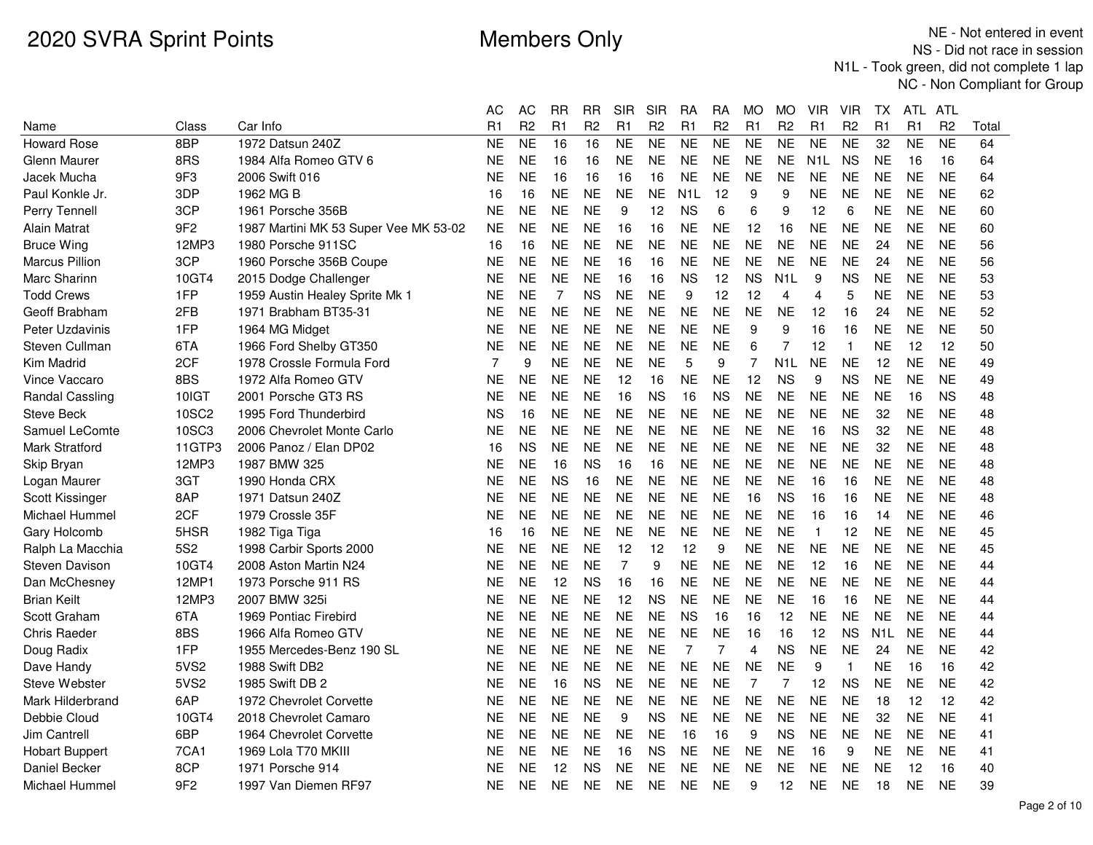|                        |                 |                                       | АC             | AC             | RR        | RR             | SIR            | SIR            | RA               | RA              | МO                  | <b>MO</b>        | VIR              | VIR            | ТX               | ATL.           | ATL            |       |
|------------------------|-----------------|---------------------------------------|----------------|----------------|-----------|----------------|----------------|----------------|------------------|-----------------|---------------------|------------------|------------------|----------------|------------------|----------------|----------------|-------|
| Name                   | Class           | Car Info                              | R <sub>1</sub> | R <sub>2</sub> | R1        | R <sub>2</sub> | R1             | R <sub>2</sub> | R1               | R <sub>2</sub>  | R <sub>1</sub>      | R <sub>2</sub>   | R1               | R <sub>2</sub> | R1               | R1             | R <sub>2</sub> | Total |
| <b>Howard Rose</b>     | 8BP             | 1972 Datsun 240Z                      | NE             | N <sub>E</sub> | 16        | 16             | NE             | <b>NE</b>      | N <sub>E</sub>   | $\overline{NE}$ | $\overline{\sf NE}$ | <b>NE</b>        | <b>NE</b>        | N <sub>E</sub> | 32               | N <sub>E</sub> | N <sub>E</sub> | 64    |
| Glenn Maurer           | 8RS             | 1984 Alfa Romeo GTV 6                 | NE             | <b>NE</b>      | 16        | 16             | <b>NE</b>      | <b>NE</b>      | <b>NE</b>        | <b>NE</b>       | <b>NE</b>           | <b>NE</b>        | N <sub>1</sub> L | <b>NS</b>      | <b>NE</b>        | 16             | 16             | 64    |
| Jacek Mucha            | 9F3             | 2006 Swift 016                        | ΝE             | <b>NE</b>      | 16        | 16             | 16             | 16             | <b>NE</b>        | <b>NE</b>       | <b>NE</b>           | <b>NE</b>        | <b>NE</b>        | <b>NE</b>      | <b>NE</b>        | <b>NE</b>      | <b>NE</b>      | 64    |
| Paul Konkle Jr.        | 3DP             | 1962 MG B                             | 16             | 16             | <b>NE</b> | <b>NE</b>      | <b>NE</b>      | <b>NE</b>      | N <sub>1</sub> L | 12              | 9                   | 9                | <b>NE</b>        | <b>NE</b>      | <b>NE</b>        | <b>NE</b>      | <b>NE</b>      | 62    |
| Perry Tennell          | 3CP             | 1961 Porsche 356B                     | NE             | NE             | <b>NE</b> | <b>NE</b>      | 9              | 12             | <b>NS</b>        | 6               | 6                   | 9                | 12               | 6              | NΕ.              | NE             | <b>NE</b>      | 60    |
| Alain Matrat           | 9F <sub>2</sub> | 1987 Martini MK 53 Super Vee MK 53-02 | NE             | <b>NE</b>      | <b>NE</b> | <b>NE</b>      | 16             | 16             | <b>NE</b>        | <b>NE</b>       | 12                  | 16               | <b>NE</b>        | <b>NE</b>      | <b>NE</b>        | <b>NE</b>      | <b>NE</b>      | 60    |
| <b>Bruce Wing</b>      | 12MP3           | 1980 Porsche 911SC                    | 16             | 16             | <b>NE</b> | <b>NE</b>      | <b>NE</b>      | <b>NE</b>      | <b>NE</b>        | <b>NE</b>       | <b>NE</b>           | <b>NE</b>        | <b>NE</b>        | <b>NE</b>      | 24               | <b>NE</b>      | <b>NE</b>      | 56    |
| Marcus Pillion         | 3CP             | 1960 Porsche 356B Coupe               | NE             | <b>NE</b>      | <b>NE</b> | <b>NE</b>      | 16             | 16             | <b>NE</b>        | <b>NE</b>       | <b>NE</b>           | <b>NE</b>        | <b>NE</b>        | <b>NE</b>      | 24               | <b>NE</b>      | <b>NE</b>      | 56    |
| Marc Sharinn           | 10GT4           | 2015 Dodge Challenger                 | ΝE             | <b>NE</b>      | <b>NE</b> | <b>NE</b>      | 16             | 16             | <b>NS</b>        | 12              | <b>NS</b>           | N <sub>1</sub> L | 9                | <b>NS</b>      | <b>NE</b>        | <b>NE</b>      | <b>NE</b>      | 53    |
| <b>Todd Crews</b>      | 1FP             | 1959 Austin Healey Sprite Mk 1        | NE             | <b>NE</b>      | 7         | <b>NS</b>      | <b>NE</b>      | <b>NE</b>      | 9                | 12              | 12                  | 4                | 4                | 5              | NΕ               | <b>NE</b>      | <b>NE</b>      | 53    |
| Geoff Brabham          | 2FB             | 1971 Brabham BT35-31                  | NΕ             | <b>NE</b>      | <b>NE</b> | <b>NE</b>      | <b>NE</b>      | <b>NE</b>      | <b>NE</b>        | <b>NE</b>       | <b>NE</b>           | <b>NE</b>        | 12               | 16             | 24               | <b>NE</b>      | <b>NE</b>      | 52    |
| Peter Uzdavinis        | 1FP             | 1964 MG Midget                        | NE             | <b>NE</b>      | <b>NE</b> | <b>NE</b>      | <b>NE</b>      | <b>NE</b>      | <b>NE</b>        | <b>NE</b>       | 9                   | 9                | 16               | 16             | <b>NE</b>        | <b>NE</b>      | <b>NE</b>      | 50    |
| Steven Cullman         | 6TA             | 1966 Ford Shelby GT350                | NE             | <b>NE</b>      | <b>NE</b> | <b>NE</b>      | <b>NE</b>      | <b>NE</b>      | <b>NE</b>        | <b>NE</b>       | 6                   | 7                | 12               | $\mathbf{1}$   | NΕ.              | 12             | 12             | 50    |
| Kim Madrid             | 2CF             | 1978 Crossle Formula Ford             | 7              | 9              | <b>NE</b> | <b>NE</b>      | <b>NE</b>      | <b>NE</b>      | 5                | 9               | 7                   | N <sub>1</sub> L | <b>NE</b>        | <b>NE</b>      | 12               | <b>NE</b>      | <b>NE</b>      | 49    |
| Vince Vaccaro          | 8BS             | 1972 Alfa Romeo GTV                   | NE             | <b>NE</b>      | <b>NE</b> | <b>NE</b>      | 12             | 16             | <b>NE</b>        | <b>NE</b>       | 12                  | <b>NS</b>        | 9                | <b>NS</b>      | <b>NE</b>        | <b>NE</b>      | <b>NE</b>      | 49    |
| <b>Randal Cassling</b> | 10IGT           | 2001 Porsche GT3 RS                   | NΕ             | <b>NE</b>      | <b>NE</b> | <b>NE</b>      | 16             | <b>NS</b>      | 16               | <b>NS</b>       | NE.                 | <b>NE</b>        | <b>NE</b>        | <b>NE</b>      | NΕ.              | 16             | <b>NS</b>      | 48    |
| <b>Steve Beck</b>      | 10SC2           | 1995 Ford Thunderbird                 | ΝS             | 16             | <b>NE</b> | <b>NE</b>      | <b>NE</b>      | <b>NE</b>      | <b>NE</b>        | <b>NE</b>       | <b>NE</b>           | <b>NE</b>        | <b>NE</b>        | <b>NE</b>      | 32               | <b>NE</b>      | <b>NE</b>      | 48    |
| Samuel LeComte         | 10SC3           | 2006 Chevrolet Monte Carlo            | NE             | <b>NE</b>      | <b>NE</b> | <b>NE</b>      | <b>NE</b>      | <b>NE</b>      | <b>NE</b>        | <b>NE</b>       | <b>NE</b>           | <b>NE</b>        | 16               | <b>NS</b>      | 32               | <b>NE</b>      | <b>NE</b>      | 48    |
| Mark Stratford         | 11GTP3          | 2006 Panoz / Elan DP02                | 16             | <b>NS</b>      | <b>NE</b> | <b>NE</b>      | <b>NE</b>      | <b>NE</b>      | <b>NE</b>        | <b>NE</b>       | <b>NE</b>           | <b>NE</b>        | <b>NE</b>        | <b>NE</b>      | 32               | <b>NE</b>      | <b>NE</b>      | 48    |
| Skip Bryan             | 12MP3           | 1987 BMW 325                          | NE             | <b>NE</b>      | 16        | <b>NS</b>      | 16             | 16             | <b>NE</b>        | <b>NE</b>       | <b>NE</b>           | <b>NE</b>        | <b>NE</b>        | <b>NE</b>      | <b>NE</b>        | <b>NE</b>      | <b>NE</b>      | 48    |
| Logan Maurer           | 3GT             | 1990 Honda CRX                        | NE             | <b>NE</b>      | <b>NS</b> | 16             | <b>NE</b>      | <b>NE</b>      | <b>NE</b>        | <b>NE</b>       | <b>NE</b>           | <b>NE</b>        | 16               | 16             | <b>NE</b>        | <b>NE</b>      | <b>NE</b>      | 48    |
| Scott Kissinger        | 8AP             | 1971 Datsun 240Z                      | ΝE             | <b>NE</b>      | <b>NE</b> | <b>NE</b>      | <b>NE</b>      | <b>NE</b>      | <b>NE</b>        | <b>NE</b>       | 16                  | <b>NS</b>        | 16               | 16             | <b>NE</b>        | <b>NE</b>      | <b>NE</b>      | 48    |
| Michael Hummel         | 2CF             | 1979 Crossle 35F                      | NE             | <b>NE</b>      | <b>NE</b> | <b>NE</b>      | <b>NE</b>      | <b>NE</b>      | <b>NE</b>        | <b>NE</b>       | <b>NE</b>           | <b>NE</b>        | 16               | 16             | 14               | <b>NE</b>      | <b>NE</b>      | 46    |
| Gary Holcomb           | 5HSR            | 1982 Tiga Tiga                        | 16             | 16             | <b>NE</b> | <b>NE</b>      | <b>NE</b>      | <b>NE</b>      | <b>NE</b>        | <b>NE</b>       | <b>NE</b>           | <b>NE</b>        | $\mathbf{1}$     | 12             | <b>NE</b>        | <b>NE</b>      | <b>NE</b>      | 45    |
| Ralph La Macchia       | <b>5S2</b>      | 1998 Carbir Sports 2000               | ΝE             | <b>NE</b>      | <b>NE</b> | <b>NE</b>      | 12             | 12             | 12               | 9               | <b>NE</b>           | <b>NE</b>        | <b>NE</b>        | <b>NE</b>      | <b>NE</b>        | <b>NE</b>      | <b>NE</b>      | 45    |
| Steven Davison         | 10GT4           | 2008 Aston Martin N24                 | ΝE             | <b>NE</b>      | <b>NE</b> | <b>NE</b>      | $\overline{7}$ | 9              | <b>NE</b>        | <b>NE</b>       | <b>NE</b>           | <b>NE</b>        | 12               | 16             | <b>NE</b>        | <b>NE</b>      | <b>NE</b>      | 44    |
| Dan McChesney          | 12MP1           | 1973 Porsche 911 RS                   | NE             | <b>NE</b>      | 12        | <b>NS</b>      | 16             | 16             | <b>NE</b>        | <b>NE</b>       | NE.                 | <b>NE</b>        | <b>NE</b>        | <b>NE</b>      | NΕ.              | NE.            | <b>NE</b>      | 44    |
| <b>Brian Keilt</b>     | 12MP3           | 2007 BMW 325i                         | ΝE             | <b>NE</b>      | <b>NE</b> | <b>NE</b>      | 12             | <b>NS</b>      | <b>NE</b>        | <b>NE</b>       | <b>NE</b>           | <b>NE</b>        | 16               | 16             | <b>NE</b>        | <b>NE</b>      | <b>NE</b>      | 44    |
| Scott Graham           | 6TA             | 1969 Pontiac Firebird                 | NE             | <b>NE</b>      | <b>NE</b> | <b>NE</b>      | <b>NE</b>      | <b>NE</b>      | <b>NS</b>        | 16              | 16                  | 12               | <b>NE</b>        | <b>NE</b>      | <b>NE</b>        | <b>NE</b>      | <b>NE</b>      | 44    |
| <b>Chris Raeder</b>    | 8BS             | 1966 Alfa Romeo GTV                   | NE             | <b>NE</b>      | <b>NE</b> | <b>NE</b>      | <b>NE</b>      | <b>NE</b>      | <b>NE</b>        | <b>NE</b>       | 16                  | 16               | 12               | <b>NS</b>      | N <sub>1</sub> L | NE.            | <b>NE</b>      | 44    |
| Doug Radix             | 1FP             | 1955 Mercedes-Benz 190 SL             | NE             | <b>NE</b>      | <b>NE</b> | <b>NE</b>      | <b>NE</b>      | <b>NE</b>      | $\overline{7}$   | 7               | $\overline{4}$      | <b>NS</b>        | <b>NE</b>        | <b>NE</b>      | 24               | <b>NE</b>      | <b>NE</b>      | 42    |
| Dave Handy             | 5VS2            | 1988 Swift DB2                        | NΕ             | <b>NE</b>      | <b>NE</b> | <b>NE</b>      | <b>NE</b>      | <b>NE</b>      | <b>NE</b>        | <b>NE</b>       | <b>NE</b>           | NE               | 9                | $\mathbf{1}$   | <b>NE</b>        | 16             | 16             | 42    |
| <b>Steve Webster</b>   | 5VS2            | 1985 Swift DB 2                       | NE             | <b>NE</b>      | 16        | <b>NS</b>      | <b>NE</b>      | <b>NE</b>      | <b>NE</b>        | <b>NE</b>       | $\overline{7}$      | 7                | 12               | <b>NS</b>      | <b>NE</b>        | <b>NE</b>      | <b>NE</b>      | 42    |
| Mark Hilderbrand       | 6AP             | 1972 Chevrolet Corvette               | ΝE             | <b>NE</b>      | <b>NE</b> | <b>NE</b>      | <b>NE</b>      | <b>NE</b>      | <b>NE</b>        | <b>NE</b>       | <b>NE</b>           | <b>NE</b>        | <b>NE</b>        | <b>NE</b>      | 18               | 12             | 12             | 42    |
| Debbie Cloud           | 10GT4           | 2018 Chevrolet Camaro                 | NE             | <b>NE</b>      | <b>NE</b> | <b>NE</b>      | 9              | <b>NS</b>      | <b>NE</b>        | <b>NE</b>       | <b>NE</b>           | <b>NE</b>        | <b>NE</b>        | <b>NE</b>      | 32               | <b>NE</b>      | <b>NE</b>      | 41    |
| Jim Cantrell           | 6BP             | 1964 Chevrolet Corvette               | NΕ             | <b>NE</b>      | <b>NE</b> | <b>NE</b>      | <b>NE</b>      | <b>NE</b>      | 16               | 16              | 9                   | <b>NS</b>        | <b>NE</b>        | <b>NE</b>      | <b>NE</b>        | <b>NE</b>      | <b>NE</b>      | 41    |
| <b>Hobart Buppert</b>  | 7CA1            | 1969 Lola T70 MKIII                   | NE             | <b>NE</b>      | <b>NE</b> | <b>NE</b>      | 16             | <b>NS</b>      | <b>NE</b>        | <b>NE</b>       | <b>NE</b>           | <b>NE</b>        | 16               | 9              | <b>NE</b>        | <b>NE</b>      | <b>NE</b>      | 41    |
| Daniel Becker          | 8CP             | 1971 Porsche 914                      | NΕ             | NE             | 12        | <b>NS</b>      | <b>NE</b>      | NE             | <b>NE</b>        | <b>NE</b>       | <b>NE</b>           | NE               | <b>NE</b>        | <b>NE</b>      | NΕ               | 12             | 16             | 40    |
| Michael Hummel         | 9F <sub>2</sub> | 1997 Van Diemen RF97                  | NE             | <b>NE</b>      | <b>NE</b> | <b>NE</b>      | <b>NE</b>      | <b>NE</b>      | <b>NE</b>        | <b>NE</b>       | 9                   | 12               | <b>NE</b>        | <b>NE</b>      | 18               | NE.            | <b>NE</b>      | 39    |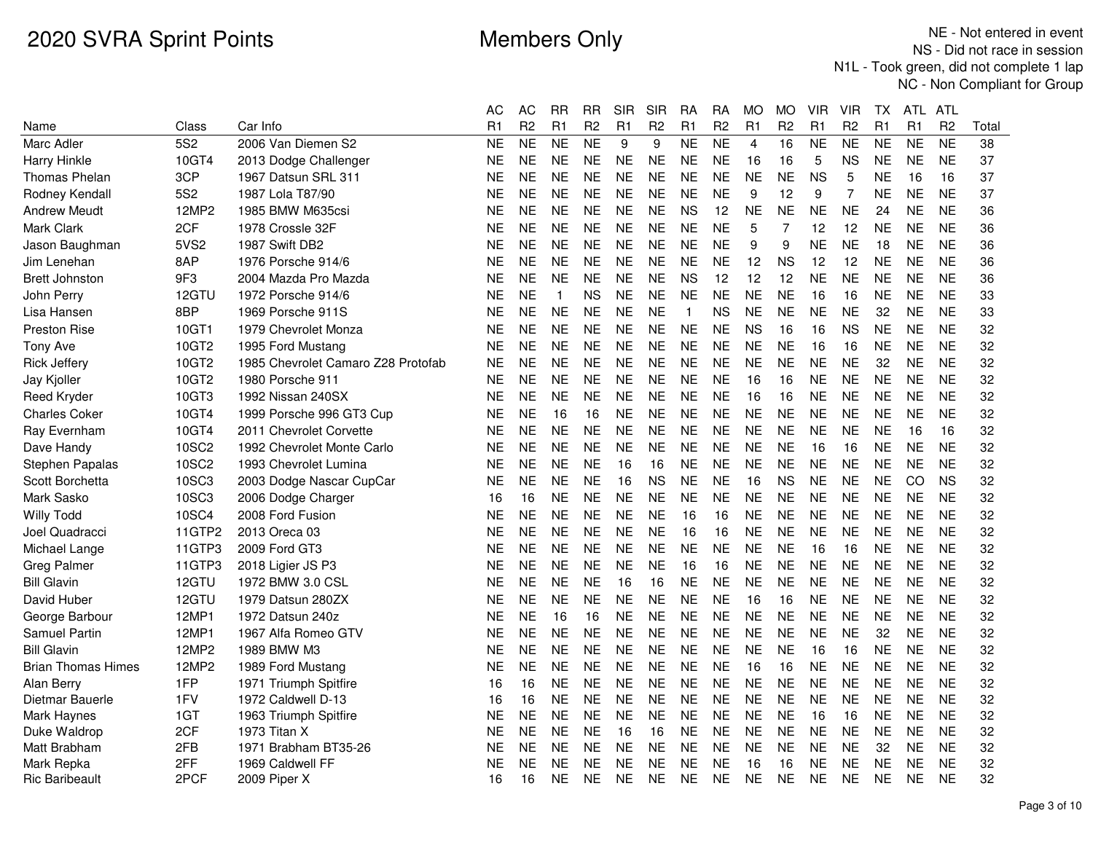|                           |                 |                                    | AС | AС             | <b>RR</b>    | RR             | SIR       | SIR            | RA            | RA             | МO             | MO             | VIR            | VIR            | TХ        | ATL.      | ATL            |       |
|---------------------------|-----------------|------------------------------------|----|----------------|--------------|----------------|-----------|----------------|---------------|----------------|----------------|----------------|----------------|----------------|-----------|-----------|----------------|-------|
| Name                      | Class           | Car Info                           | R1 | R <sub>2</sub> | R1           | R <sub>2</sub> | R1        | R <sub>2</sub> | R1            | R <sub>2</sub> | R1             | R <sub>2</sub> | R <sub>1</sub> | R <sub>2</sub> | R1        | R1        | R <sub>2</sub> | Total |
| Marc Adler                | <b>5S2</b>      | 2006 Van Diemen S2                 | ΝE | <b>NE</b>      | <b>NE</b>    | <b>NE</b>      | 9         | 9              | <b>NE</b>     | <b>NE</b>      | $\overline{4}$ | 16             | <b>NE</b>      | <b>NE</b>      | <b>NE</b> | <b>NE</b> | <b>NE</b>      | 38    |
| Harry Hinkle              | 10GT4           | 2013 Dodge Challenger              | ΝE | <b>NE</b>      | <b>NE</b>    | <b>NE</b>      | <b>NE</b> | <b>NE</b>      | <b>NE</b>     | <b>NE</b>      | 16             | 16             | 5              | ΝS             | <b>NE</b> | <b>NE</b> | <b>NE</b>      | 37    |
| <b>Thomas Phelan</b>      | 3CP             | 1967 Datsun SRL 311                | ΝE | <b>NE</b>      | <b>NE</b>    | <b>NE</b>      | <b>NE</b> | <b>NE</b>      | <b>NE</b>     | <b>NE</b>      | <b>NE</b>      | <b>NE</b>      | <b>NS</b>      | 5              | <b>NE</b> | 16        | 16             | 37    |
| Rodney Kendall            | 5S <sub>2</sub> | 1987 Lola T87/90                   | NΕ | <b>NE</b>      | <b>NE</b>    | <b>NE</b>      | <b>NE</b> | <b>NE</b>      | <b>NE</b>     | <b>NE</b>      | 9              | 12             | 9              | 7              | <b>NE</b> | <b>NE</b> | <b>NE</b>      | 37    |
| <b>Andrew Meudt</b>       | 12MP2           | 1985 BMW M635csi                   | NE | <b>NE</b>      | <b>NE</b>    | <b>NE</b>      | NE.       | <b>NE</b>      | <b>NS</b>     | 12             | ΝE             | <b>NE</b>      | NE             | <b>NE</b>      | 24        | NE        | <b>NE</b>      | 36    |
| <b>Mark Clark</b>         | 2CF             | 1978 Crossle 32F                   | NΕ | <b>NE</b>      | <b>NE</b>    | <b>NE</b>      | <b>NE</b> | <b>NE</b>      | <b>NE</b>     | <b>NE</b>      | 5              | 7              | 12             | 12             | <b>NE</b> | <b>NE</b> | <b>NE</b>      | 36    |
| Jason Baughman            | 5VS2            | 1987 Swift DB2                     | NΕ | <b>NE</b>      | <b>NE</b>    | <b>NE</b>      | <b>NE</b> | <b>NE</b>      | <b>NE</b>     | <b>NE</b>      | 9              | 9              | <b>NE</b>      | <b>NE</b>      | 18        | <b>NE</b> | <b>NE</b>      | 36    |
| Jim Lenehan               | 8AP             | 1976 Porsche 914/6                 | ΝE | <b>NE</b>      | <b>NE</b>    | <b>NE</b>      | <b>NE</b> | <b>NE</b>      | <b>NE</b>     | <b>NE</b>      | 12             | <b>NS</b>      | 12             | 12             | <b>NE</b> | <b>NE</b> | <b>NE</b>      | 36    |
| <b>Brett Johnston</b>     | 9F <sub>3</sub> | 2004 Mazda Pro Mazda               | NE | <b>NE</b>      | <b>NE</b>    | <b>NE</b>      | <b>NE</b> | <b>NE</b>      | <b>NS</b>     | 12             | 12             | 12             | <b>NE</b>      | <b>NE</b>      | <b>NE</b> | <b>NE</b> | <b>NE</b>      | 36    |
| John Perry                | 12GTU           | 1972 Porsche 914/6                 | NΕ | <b>NE</b>      | $\mathbf{1}$ | <b>NS</b>      | <b>NE</b> | <b>NE</b>      | <b>NE</b>     | <b>NE</b>      | <b>NE</b>      | <b>NE</b>      | 16             | 16             | <b>NE</b> | <b>NE</b> | <b>NE</b>      | 33    |
| Lisa Hansen               | 8 <sub>BP</sub> | 1969 Porsche 911S                  | NΕ | <b>NE</b>      | <b>NE</b>    | <b>NE</b>      | NE.       | <b>NE</b>      | $\mathbf{1}$  | <b>NS</b>      | <b>NE</b>      | <b>NE</b>      | <b>NE</b>      | NE             | 32        | <b>NE</b> | <b>NE</b>      | 33    |
| Preston Rise              | 10GT1           | 1979 Chevrolet Monza               | NΕ | <b>NE</b>      | <b>NE</b>    | <b>NE</b>      | <b>NE</b> | <b>NE</b>      | <b>NE</b>     | <b>NE</b>      | <b>NS</b>      | 16             | 16             | <b>NS</b>      | <b>NE</b> | <b>NE</b> | <b>NE</b>      | 32    |
| <b>Tony Ave</b>           | 10GT2           | 1995 Ford Mustang                  | ΝE | <b>NE</b>      | <b>NE</b>    | <b>NE</b>      | <b>NE</b> | <b>NE</b>      | <b>NE</b>     | <b>NE</b>      | <b>NE</b>      | <b>NE</b>      | 16             | 16             | <b>NE</b> | <b>NE</b> | <b>NE</b>      | 32    |
| <b>Rick Jeffery</b>       | 10GT2           | 1985 Chevrolet Camaro Z28 Protofab | NΕ | <b>NE</b>      | <b>NE</b>    | <b>NE</b>      | NE.       | <b>NE</b>      | <b>NE</b>     | <b>NE</b>      | <b>NE</b>      | <b>NE</b>      | <b>NE</b>      | <b>NE</b>      | 32        | <b>NE</b> | <b>NE</b>      | 32    |
| Jay Kjoller               | 10GT2           | 1980 Porsche 911                   | NΕ | <b>NE</b>      | <b>NE</b>    | <b>NE</b>      | <b>NE</b> | <b>NE</b>      | <b>NE</b>     | <b>NE</b>      | 16             | 16             | <b>NE</b>      | <b>NE</b>      | <b>NE</b> | <b>NE</b> | <b>NE</b>      | 32    |
| <b>Reed Kryder</b>        | 10GT3           | 1992 Nissan 240SX                  | ΝE | <b>NE</b>      | <b>NE</b>    | <b>NE</b>      | <b>NE</b> | <b>NE</b>      | <b>NE</b>     | <b>NE</b>      | 16             | 16             | <b>NE</b>      | <b>NE</b>      | <b>NE</b> | <b>NE</b> | <b>NE</b>      | 32    |
| <b>Charles Coker</b>      | 10GT4           | 1999 Porsche 996 GT3 Cup           | NΕ | <b>NE</b>      | 16           | 16             | NE.       | <b>NE</b>      | <b>NE</b>     | <b>NE</b>      | <b>NE</b>      | <b>NE</b>      | <b>NE</b>      | <b>NE</b>      | <b>NE</b> | <b>NE</b> | <b>NE</b>      | 32    |
| Ray Evernham              | 10GT4           | 2011 Chevrolet Corvette            | NE | <b>NE</b>      | <b>NE</b>    | <b>NE</b>      | <b>NE</b> | <b>NE</b>      | <b>NE</b>     | <b>NE</b>      | <b>NE</b>      | <b>NE</b>      | <b>NE</b>      | <b>NE</b>      | <b>NE</b> | 16        | 16             | 32    |
| Dave Handy                | 10SC2           | 1992 Chevrolet Monte Carlo         | NE | <b>NE</b>      | <b>NE</b>    | <b>NE</b>      | <b>NE</b> | <b>NE</b>      | <b>NE</b>     | <b>NE</b>      | <b>NE</b>      | <b>NE</b>      | 16             | 16             | <b>NE</b> | <b>NE</b> | <b>NE</b>      | 32    |
| Stephen Papalas           | 10SC2           | 1993 Chevrolet Lumina              | NΕ | <b>NE</b>      | <b>NE</b>    | <b>NE</b>      | 16        | 16             | <b>NE</b>     | <b>NE</b>      | <b>NE</b>      | <b>NE</b>      | <b>NE</b>      | <b>NE</b>      | <b>NE</b> | <b>NE</b> | <b>NE</b>      | 32    |
| Scott Borchetta           | 10SC3           | 2003 Dodge Nascar CupCar           | NΕ | <b>NE</b>      | <b>NE</b>    | <b>NE</b>      | 16        | <b>NS</b>      | <b>NE</b>     | <b>NE</b>      | 16             | <b>NS</b>      | <b>NE</b>      | <b>NE</b>      | <b>NE</b> | CO        | <b>NS</b>      | 32    |
| Mark Sasko                | 10SC3           | 2006 Dodge Charger                 | 16 | 16             | <b>NE</b>    | <b>NE</b>      | <b>NE</b> | <b>NE</b>      | <b>NE</b>     | <b>NE</b>      | <b>NE</b>      | <b>NE</b>      | <b>NE</b>      | <b>NE</b>      | <b>NE</b> | <b>NE</b> | <b>NE</b>      | 32    |
| <b>Willy Todd</b>         | <b>10SC4</b>    | 2008 Ford Fusion                   | NE | <b>NE</b>      | <b>NE</b>    | <b>NE</b>      | <b>NE</b> | <b>NE</b>      | 16            | 16             | <b>NE</b>      | <b>NE</b>      | <b>NE</b>      | <b>NE</b>      | <b>NE</b> | <b>NE</b> | <b>NE</b>      | 32    |
| Joel Quadracci            | 11GTP2          | 2013 Oreca 03                      | NE | <b>NE</b>      | <b>NE</b>    | <b>NE</b>      | NE        | <b>NE</b>      | 16            | 16             | <b>NE</b>      | <b>NE</b>      | <b>NE</b>      | <b>NE</b>      | <b>NE</b> | <b>NE</b> | <b>NE</b>      | 32    |
| Michael Lange             | 11GTP3          | 2009 Ford GT3                      | ΝE | <b>NE</b>      | <b>NE</b>    | <b>NE</b>      | <b>NE</b> | <b>NE</b>      | <b>NE</b>     | <b>NE</b>      | <b>NE</b>      | <b>NE</b>      | 16             | 16             | <b>NE</b> | <b>NE</b> | <b>NE</b>      | 32    |
| <b>Greg Palmer</b>        | 11GTP3          | 2018 Ligier JS P3                  | NΕ | <b>NE</b>      | <b>NE</b>    | <b>NE</b>      | <b>NE</b> | <b>NE</b>      | 16            | 16             | <b>NE</b>      | <b>NE</b>      | <b>NE</b>      | <b>NE</b>      | <b>NE</b> | <b>NE</b> | <b>NE</b>      | 32    |
| <b>Bill Glavin</b>        | 12GTU           | 1972 BMW 3.0 CSL                   | ΝE | <b>NE</b>      | <b>NE</b>    | <b>NE</b>      | 16        | 16             | <b>NE</b>     | <b>NE</b>      | <b>NE</b>      | <b>NE</b>      | <b>NE</b>      | <b>NE</b>      | <b>NE</b> | <b>NE</b> | <b>NE</b>      | 32    |
| David Huber               | 12GTU           | 1979 Datsun 280ZX                  | NΕ | <b>NE</b>      | <b>NE</b>    | <b>NE</b>      | <b>NE</b> | <b>NE</b>      | <b>NE</b>     | <b>NE</b>      | 16             | 16             | <b>NE</b>      | <b>NE</b>      | <b>NE</b> | <b>NE</b> | <b>NE</b>      | 32    |
| George Barbour            | 12MP1           | 1972 Datsun 240z                   | NΕ | <b>NE</b>      | 16           | 16             | <b>NE</b> | <b>NE</b>      | <b>NE</b>     | <b>NE</b>      | <b>NE</b>      | <b>NE</b>      | <b>NE</b>      | NE             | <b>NE</b> | <b>NE</b> | <b>NE</b>      | 32    |
| <b>Samuel Partin</b>      | 12MP1           | 1967 Alfa Romeo GTV                | NE | <b>NE</b>      | <b>NE</b>    | <b>NE</b>      | NE.       | <b>NE</b>      | <b>NE</b>     | <b>NE</b>      | <b>NE</b>      | <b>NE</b>      | <b>NE</b>      | <b>NE</b>      | 32        | <b>NE</b> | <b>NE</b>      | 32    |
| <b>Bill Glavin</b>        | 12MP2           | 1989 BMW M3                        | ΝE | <b>NE</b>      | <b>NE</b>    | <b>NE</b>      | <b>NE</b> | <b>NE</b>      | <b>NE</b>     | <b>NE</b>      | <b>NE</b>      | <b>NE</b>      | 16             | 16             | <b>NE</b> | <b>NE</b> | <b>NE</b>      | 32    |
| <b>Brian Thomas Himes</b> | 12MP2           | 1989 Ford Mustang                  | NE | <b>NE</b>      | <b>NE</b>    | <b>NE</b>      | <b>NE</b> | <b>NE</b>      | <b>NE</b>     | <b>NE</b>      | 16             | 16             | <b>NE</b>      | <b>NE</b>      | <b>NE</b> | <b>NE</b> | <b>NE</b>      | 32    |
| Alan Berry                | 1FP             | 1971 Triumph Spitfire              | 16 | 16             | <b>NE</b>    | <b>NE</b>      | NE.       | <b>NE</b>      | <b>NE</b>     | <b>NE</b>      | <b>NE</b>      | <b>NE</b>      | <b>NE</b>      | <b>NE</b>      | <b>NE</b> | <b>NE</b> | <b>NE</b>      | 32    |
| Dietmar Bauerle           | 1FV             | 1972 Caldwell D-13                 | 16 | 16             | <b>NE</b>    | <b>NE</b>      | <b>NE</b> | <b>NE</b>      | <b>NE</b>     | <b>NE</b>      | <b>NE</b>      | <b>NE</b>      | <b>NE</b>      | <b>NE</b>      | <b>NE</b> | <b>NE</b> | <b>NE</b>      | 32    |
| Mark Haynes               | 1GT             | 1963 Triumph Spitfire              | NE | NE             | <b>NE</b>    | <b>NE</b>      | NE        | <b>NE</b>      | <b>NE</b>     | <b>NE</b>      | <b>NE</b>      | <b>NE</b>      | 16             | 16             | <b>NE</b> | <b>NE</b> | <b>NE</b>      | 32    |
| Duke Waldrop              | 2CF             | 1973 Titan X                       | NE | <b>NE</b>      | <b>NE</b>    | <b>NE</b>      | 16        | 16             | <b>NE</b>     | <b>NE</b>      | <b>NE</b>      | <b>NE</b>      | <b>NE</b>      | <b>NE</b>      | <b>NE</b> | <b>NE</b> | <b>NE</b>      | 32    |
| Matt Brabham              | 2FB             | 1971 Brabham BT35-26               | NΕ | <b>NE</b>      | <b>NE</b>    | <b>NE</b>      | <b>NE</b> | <b>NE</b>      | $N\mathsf{E}$ | <b>NE</b>      | <b>NE</b>      | <b>NE</b>      | <b>NE</b>      | <b>NE</b>      | 32        | <b>NE</b> | <b>NE</b>      | 32    |
| Mark Repka                | 2FF             | 1969 Caldwell FF                   | NE | <b>NE</b>      | <b>NE</b>    | <b>NE</b>      | <b>NE</b> | <b>NE</b>      | <b>NE</b>     | ΝE             | 16             | 16             | <b>NE</b>      | <b>NE</b>      | <b>NE</b> | <b>NE</b> | <b>NE</b>      | 32    |
| <b>Ric Baribeault</b>     | 2PCF            | 2009 Piper X                       | 16 | 16             | <b>NE</b>    | <b>NE</b>      | <b>NE</b> | <b>NE</b>      | <b>NE</b>     | <b>NE</b>      | <b>NE</b>      | <b>NE</b>      | <b>NE</b>      | NE             | <b>NE</b> | <b>NE</b> | <b>NE</b>      | 32    |
|                           |                 |                                    |    |                |              |                |           |                |               |                |                |                |                |                |           |           |                |       |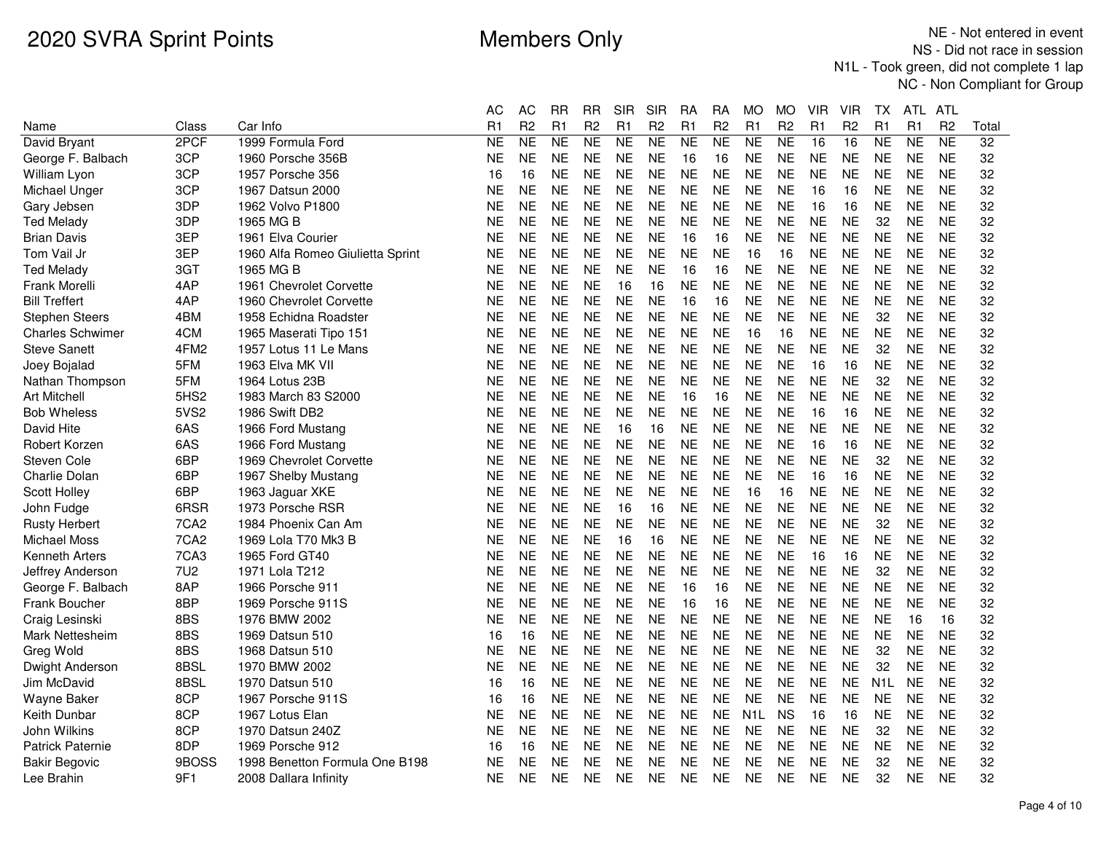|                         |                  |                                  | АC        | AC             | RR        | RR             | <b>SIR</b> | <b>SIR</b>     | RA        | RA             | МO               | МO             | VIR       | VIR            | TХ               | ATL.      | ATL            |       |
|-------------------------|------------------|----------------------------------|-----------|----------------|-----------|----------------|------------|----------------|-----------|----------------|------------------|----------------|-----------|----------------|------------------|-----------|----------------|-------|
| Name                    | Class            | Car Info                         | R1        | R <sub>2</sub> | R1        | R <sub>2</sub> | R1         | R <sub>2</sub> | R1        | R <sub>2</sub> | R1               | R <sub>2</sub> | R1        | R <sub>2</sub> | R <sub>1</sub>   | R1        | R <sub>2</sub> | Total |
| David Bryant            | 2PCF             | 1999 Formula Ford                | <b>NE</b> | NE             | <b>NE</b> | <b>NE</b>      | <b>NE</b>  | <b>NE</b>      | <b>NE</b> | <b>NE</b>      | <b>NE</b>        | NE             | 16        | 16             | <b>NE</b>        | <b>NE</b> | <b>NE</b>      | 32    |
| George F. Balbach       | 3CP              | 1960 Porsche 356B                | <b>NE</b> | <b>NE</b>      | <b>NE</b> | <b>NE</b>      | <b>NE</b>  | <b>NE</b>      | 16        | 16             | <b>NE</b>        | <b>NE</b>      | <b>NE</b> | <b>NE</b>      | <b>NE</b>        | <b>NE</b> | <b>NE</b>      | 32    |
| William Lyon            | 3CP              | 1957 Porsche 356                 | 16        | 16             | <b>NE</b> | <b>NE</b>      | <b>NE</b>  | NE.            | <b>NE</b> | <b>NE</b>      | <b>NE</b>        | <b>NE</b>      | <b>NE</b> | <b>NE</b>      | NE               | <b>NE</b> | <b>NE</b>      | 32    |
| Michael Unger           | 3CP              | 1967 Datsun 2000                 | <b>NE</b> | <b>NE</b>      | <b>NE</b> | <b>NE</b>      | <b>NE</b>  | <b>NE</b>      | <b>NE</b> | <b>NE</b>      | <b>NE</b>        | <b>NE</b>      | 16        | 16             | <b>NE</b>        | <b>NE</b> | <b>NE</b>      | 32    |
| Gary Jebsen             | 3DP              | 1962 Volvo P1800                 | NE        | <b>NE</b>      | <b>NE</b> | <b>NE</b>      | <b>NE</b>  | <b>NE</b>      | <b>NE</b> | <b>NE</b>      | <b>NE</b>        | <b>NE</b>      | 16        | 16             | <b>NE</b>        | <b>NE</b> | <b>NE</b>      | 32    |
| <b>Ted Melady</b>       | 3DP              | 1965 MG B                        | <b>NE</b> | <b>NE</b>      | <b>NE</b> | <b>NE</b>      | <b>NE</b>  | <b>NE</b>      | <b>NE</b> | <b>NE</b>      | <b>NE</b>        | <b>NE</b>      | <b>NE</b> | <b>NE</b>      | 32               | <b>NE</b> | <b>NE</b>      | 32    |
| <b>Brian Davis</b>      | 3EP              | 1961 Elva Courier                | <b>NE</b> | <b>NE</b>      | <b>NE</b> | <b>NE</b>      | <b>NE</b>  | <b>NE</b>      | 16        | 16             | <b>NE</b>        | <b>NE</b>      | <b>NE</b> | <b>NE</b>      | <b>NE</b>        | <b>NE</b> | <b>NE</b>      | 32    |
| Tom Vail Jr             | 3EP              | 1960 Alfa Romeo Giulietta Sprint | <b>NE</b> | <b>NE</b>      | <b>NE</b> | <b>NE</b>      | <b>NE</b>  | <b>NE</b>      | <b>NE</b> | <b>NE</b>      | 16               | 16             | <b>NE</b> | <b>NE</b>      | <b>NE</b>        | <b>NE</b> | <b>NE</b>      | 32    |
| <b>Ted Melady</b>       | 3GT              | 1965 MG B                        | <b>NE</b> | <b>NE</b>      | <b>NE</b> | <b>NE</b>      | <b>NE</b>  | <b>NE</b>      | 16        | 16             | <b>NE</b>        | <b>NE</b>      | <b>NE</b> | <b>NE</b>      | <b>NE</b>        | <b>NE</b> | <b>NE</b>      | 32    |
| Frank Morelli           | 4AP              | 1961 Chevrolet Corvette          | <b>NE</b> | <b>NE</b>      | <b>NE</b> | <b>NE</b>      | 16         | 16             | <b>NE</b> | <b>NE</b>      | <b>NE</b>        | <b>NE</b>      | <b>NE</b> | <b>NE</b>      | <b>NE</b>        | <b>NE</b> | <b>NE</b>      | 32    |
| <b>Bill Treffert</b>    | 4AP              | 1960 Chevrolet Corvette          | <b>NE</b> | <b>NE</b>      | <b>NE</b> | <b>NE</b>      | <b>NE</b>  | <b>NE</b>      | 16        | 16             | <b>NE</b>        | <b>NE</b>      | <b>NE</b> | <b>NE</b>      | <b>NE</b>        | <b>NE</b> | <b>NE</b>      | 32    |
| <b>Stephen Steers</b>   | 4BM              | 1958 Echidna Roadster            | <b>NE</b> | <b>NE</b>      | <b>NE</b> | <b>NE</b>      | <b>NE</b>  | <b>NE</b>      | <b>NE</b> | <b>NE</b>      | <b>NE</b>        | <b>NE</b>      | <b>NE</b> | <b>NE</b>      | 32               | <b>NE</b> | <b>NE</b>      | 32    |
| <b>Charles Schwimer</b> | 4CM              | 1965 Maserati Tipo 151           | <b>NE</b> | <b>NE</b>      | <b>NE</b> | <b>NE</b>      | <b>NE</b>  | <b>NE</b>      | <b>NE</b> | <b>NE</b>      | 16               | 16             | <b>NE</b> | <b>NE</b>      | <b>NE</b>        | <b>NE</b> | <b>NE</b>      | 32    |
| <b>Steve Sanett</b>     | 4FM <sub>2</sub> | 1957 Lotus 11 Le Mans            | <b>NE</b> | <b>NE</b>      | <b>NE</b> | <b>NE</b>      | <b>NE</b>  | <b>NE</b>      | <b>NE</b> | <b>NE</b>      | <b>NE</b>        | <b>NE</b>      | <b>NE</b> | <b>NE</b>      | 32               | <b>NE</b> | <b>NE</b>      | 32    |
| Joey Bojalad            | 5FM              | 1963 Elva MK VII                 | <b>NE</b> | <b>NE</b>      | <b>NE</b> | <b>NE</b>      | <b>NE</b>  | <b>NE</b>      | <b>NE</b> | <b>NE</b>      | <b>NE</b>        | <b>NE</b>      | 16        | 16             | <b>NE</b>        | <b>NE</b> | <b>NE</b>      | 32    |
| Nathan Thompson         | 5FM              | 1964 Lotus 23B                   | NE        | <b>NE</b>      | <b>NE</b> | <b>NE</b>      | <b>NE</b>  | <b>NE</b>      | <b>NE</b> | <b>NE</b>      | <b>NE</b>        | <b>NE</b>      | <b>NE</b> | <b>NE</b>      | 32               | <b>NE</b> | <b>NE</b>      | 32    |
| <b>Art Mitchell</b>     | 5HS2             | 1983 March 83 S2000              | <b>NE</b> | <b>NE</b>      | <b>NE</b> | <b>NE</b>      | <b>NE</b>  | <b>NE</b>      | 16        | 16             | <b>NE</b>        | <b>NE</b>      | <b>NE</b> | <b>NE</b>      | <b>NE</b>        | <b>NE</b> | <b>NE</b>      | 32    |
| <b>Bob Wheless</b>      | 5VS2             | 1986 Swift DB2                   | NE.       | <b>NE</b>      | NE        | <b>NE</b>      | <b>NE</b>  | <b>NE</b>      | <b>NE</b> | <b>NE</b>      | <b>NE</b>        | <b>NE</b>      | 16        | 16             | <b>NE</b>        | <b>NE</b> | <b>NE</b>      | 32    |
| David Hite              | 6AS              | 1966 Ford Mustang                | <b>NE</b> | <b>NE</b>      | <b>NE</b> | <b>NE</b>      | 16         | 16             | <b>NE</b> | <b>NE</b>      | <b>NE</b>        | <b>NE</b>      | <b>NE</b> | <b>NE</b>      | <b>NE</b>        | <b>NE</b> | <b>NE</b>      | 32    |
| Robert Korzen           | 6AS              | 1966 Ford Mustang                | NE        | <b>NE</b>      | <b>NE</b> | <b>NE</b>      | <b>NE</b>  | NE.            | <b>NE</b> | <b>NE</b>      | <b>NE</b>        | <b>NE</b>      | 16        | 16             | <b>NE</b>        | <b>NE</b> | <b>NE</b>      | 32    |
| Steven Cole             | 6BP              | 1969 Chevrolet Corvette          | <b>NE</b> | <b>NE</b>      | <b>NE</b> | <b>NE</b>      | <b>NE</b>  | <b>NE</b>      | <b>NE</b> | <b>NE</b>      | <b>NE</b>        | <b>NE</b>      | <b>NE</b> | <b>NE</b>      | 32               | <b>NE</b> | <b>NE</b>      | 32    |
| Charlie Dolan           | 6BP              | 1967 Shelby Mustang              | <b>NE</b> | <b>NE</b>      | NE        | <b>NE</b>      | <b>NE</b>  | <b>NE</b>      | <b>NE</b> | <b>NE</b>      | <b>NE</b>        | <b>NE</b>      | 16        | 16             | <b>NE</b>        | <b>NE</b> | <b>NE</b>      | 32    |
| Scott Holley            | 6BP              | 1963 Jaguar XKE                  | <b>NE</b> | <b>NE</b>      | <b>NE</b> | <b>NE</b>      | <b>NE</b>  | <b>NE</b>      | <b>NE</b> | <b>NE</b>      | 16               | 16             | <b>NE</b> | <b>NE</b>      | <b>NE</b>        | <b>NE</b> | <b>NE</b>      | 32    |
| John Fudge              | 6RSR             | 1973 Porsche RSR                 | <b>NE</b> | <b>NE</b>      | <b>NE</b> | <b>NE</b>      | 16         | 16             | <b>NE</b> | <b>NE</b>      | <b>NE</b>        | <b>NE</b>      | <b>NE</b> | <b>NE</b>      | <b>NE</b>        | <b>NE</b> | <b>NE</b>      | 32    |
| <b>Rusty Herbert</b>    | 7CA <sub>2</sub> | 1984 Phoenix Can Am              | <b>NE</b> | <b>NE</b>      | <b>NE</b> | <b>NE</b>      | <b>NE</b>  | <b>NE</b>      | <b>NE</b> | <b>NE</b>      | <b>NE</b>        | <b>NE</b>      | <b>NE</b> | <b>NE</b>      | 32               | <b>NE</b> | <b>NE</b>      | 32    |
| Michael Moss            | 7CA <sub>2</sub> | 1969 Lola T70 Mk3 B              | <b>NE</b> | <b>NE</b>      | <b>NE</b> | <b>NE</b>      | 16         | 16             | <b>NE</b> | <b>NE</b>      | <b>NE</b>        | <b>NE</b>      | <b>NE</b> | <b>NE</b>      | <b>NE</b>        | <b>NE</b> | <b>NE</b>      | 32    |
| <b>Kenneth Arters</b>   | 7CA3             | 1965 Ford GT40                   | <b>NE</b> | <b>NE</b>      | <b>NE</b> | <b>NE</b>      | <b>NE</b>  | <b>NE</b>      | <b>NE</b> | <b>NE</b>      | <b>NE</b>        | <b>NE</b>      | 16        | 16             | <b>NE</b>        | <b>NE</b> | <b>NE</b>      | 32    |
| Jeffrey Anderson        | <b>7U2</b>       | 1971 Lola T212                   | <b>NE</b> | <b>NE</b>      | <b>NE</b> | <b>NE</b>      | <b>NE</b>  | <b>NE</b>      | <b>NE</b> | <b>NE</b>      | <b>NE</b>        | <b>NE</b>      | <b>NE</b> | <b>NE</b>      | 32               | <b>NE</b> | <b>NE</b>      | 32    |
| George F. Balbach       | 8AP              | 1966 Porsche 911                 | <b>NE</b> | <b>NE</b>      | <b>NE</b> | <b>NE</b>      | <b>NE</b>  | <b>NE</b>      | 16        | 16             | <b>NE</b>        | <b>NE</b>      | <b>NE</b> | <b>NE</b>      | <b>NE</b>        | <b>NE</b> | <b>NE</b>      | 32    |
| Frank Boucher           | 8BP              | 1969 Porsche 911S                | <b>NE</b> | <b>NE</b>      | <b>NE</b> | <b>NE</b>      | <b>NE</b>  | <b>NE</b>      | 16        | 16             | <b>NE</b>        | <b>NE</b>      | <b>NE</b> | <b>NE</b>      | <b>NE</b>        | <b>NE</b> | <b>NE</b>      | 32    |
| Craig Lesinski          | 8BS              | 1976 BMW 2002                    | <b>NE</b> | <b>NE</b>      | <b>NE</b> | <b>NE</b>      | <b>NE</b>  | <b>NE</b>      | <b>NE</b> | <b>NE</b>      | <b>NE</b>        | <b>NE</b>      | <b>NE</b> | <b>NE</b>      | <b>NE</b>        | 16        | 16             | 32    |
| <b>Mark Nettesheim</b>  | 8BS              | 1969 Datsun 510                  | 16        | 16             | <b>NE</b> | <b>NE</b>      | <b>NE</b>  | <b>NE</b>      | <b>NE</b> | <b>NE</b>      | <b>NE</b>        | <b>NE</b>      | <b>NE</b> | <b>NE</b>      | <b>NE</b>        | <b>NE</b> | <b>NE</b>      | 32    |
| Greg Wold               | 8BS              | 1968 Datsun 510                  | <b>NE</b> | <b>NE</b>      | <b>NE</b> | <b>NE</b>      | <b>NE</b>  | <b>NE</b>      | <b>NE</b> | <b>NE</b>      | <b>NE</b>        | <b>NE</b>      | <b>NE</b> | <b>NE</b>      | 32               | <b>NE</b> | <b>NE</b>      | 32    |
| Dwight Anderson         | 8BSL             | 1970 BMW 2002                    | NE        | <b>NE</b>      | <b>NE</b> | <b>NE</b>      | <b>NE</b>  | <b>NE</b>      | <b>NE</b> | <b>NE</b>      | <b>NE</b>        | <b>NE</b>      | <b>NE</b> | <b>NE</b>      | 32               | <b>NE</b> | <b>NE</b>      | 32    |
| Jim McDavid             | 8BSL             | 1970 Datsun 510                  | 16        | 16             | <b>NE</b> | <b>NE</b>      | <b>NE</b>  | <b>NE</b>      | <b>NE</b> | <b>NE</b>      | <b>NE</b>        | <b>NE</b>      | <b>NE</b> | <b>NE</b>      | N <sub>1</sub> L | <b>NE</b> | <b>NE</b>      | 32    |
| Wayne Baker             | 8CP              | 1967 Porsche 911S                | 16        | 16             | <b>NE</b> | <b>NE</b>      | <b>NE</b>  | <b>NE</b>      | <b>NE</b> | <b>NE</b>      | <b>NE</b>        | <b>NE</b>      | <b>NE</b> | <b>NE</b>      | <b>NE</b>        | <b>NE</b> | <b>NE</b>      | 32    |
| Keith Dunbar            | 8CP              | 1967 Lotus Elan                  | NE        | <b>NE</b>      | <b>NE</b> | <b>NE</b>      | <b>NE</b>  | <b>NE</b>      | <b>NE</b> | <b>NE</b>      | N <sub>1</sub> L | <b>NS</b>      | 16        | 16             | <b>NE</b>        | <b>NE</b> | <b>NE</b>      | 32    |
| John Wilkins            | 8CP              | 1970 Datsun 240Z                 | <b>NE</b> | <b>NE</b>      | <b>NE</b> | <b>NE</b>      | <b>NE</b>  | <b>NE</b>      | <b>NE</b> | <b>NE</b>      | <b>NE</b>        | <b>NE</b>      | <b>NE</b> | <b>NE</b>      | 32               | <b>NE</b> | <b>NE</b>      | 32    |
| <b>Patrick Paternie</b> | 8DP              | 1969 Porsche 912                 | 16        | 16             | <b>NE</b> | <b>NE</b>      | <b>NE</b>  | <b>NE</b>      | <b>NE</b> | <b>NE</b>      | <b>NE</b>        | <b>NE</b>      | <b>NE</b> | <b>NE</b>      | <b>NE</b>        | <b>NE</b> | <b>NE</b>      | 32    |
| <b>Bakir Begovic</b>    | 9BOSS            | 1998 Benetton Formula One B198   | NE        | <b>NE</b>      | <b>NE</b> | <b>NE</b>      | <b>NE</b>  | <b>NE</b>      | <b>NE</b> | <b>NE</b>      | <b>NE</b>        | <b>NE</b>      | <b>NE</b> | <b>NE</b>      | 32               | <b>NE</b> | <b>NE</b>      | 32    |
| Lee Brahin              | 9F1              | 2008 Dallara Infinity            | <b>NE</b> | <b>NE</b>      | <b>NE</b> | <b>NE</b>      | <b>NE</b>  | <b>NE</b>      | <b>NE</b> | <b>NE</b>      | <b>NE</b>        | <b>NE</b>      | <b>NE</b> | <b>NE</b>      | 32               | <b>NE</b> | <b>NE</b>      | 32    |
|                         |                  |                                  |           |                |           |                |            |                |           |                |                  |                |           |                |                  |           |                |       |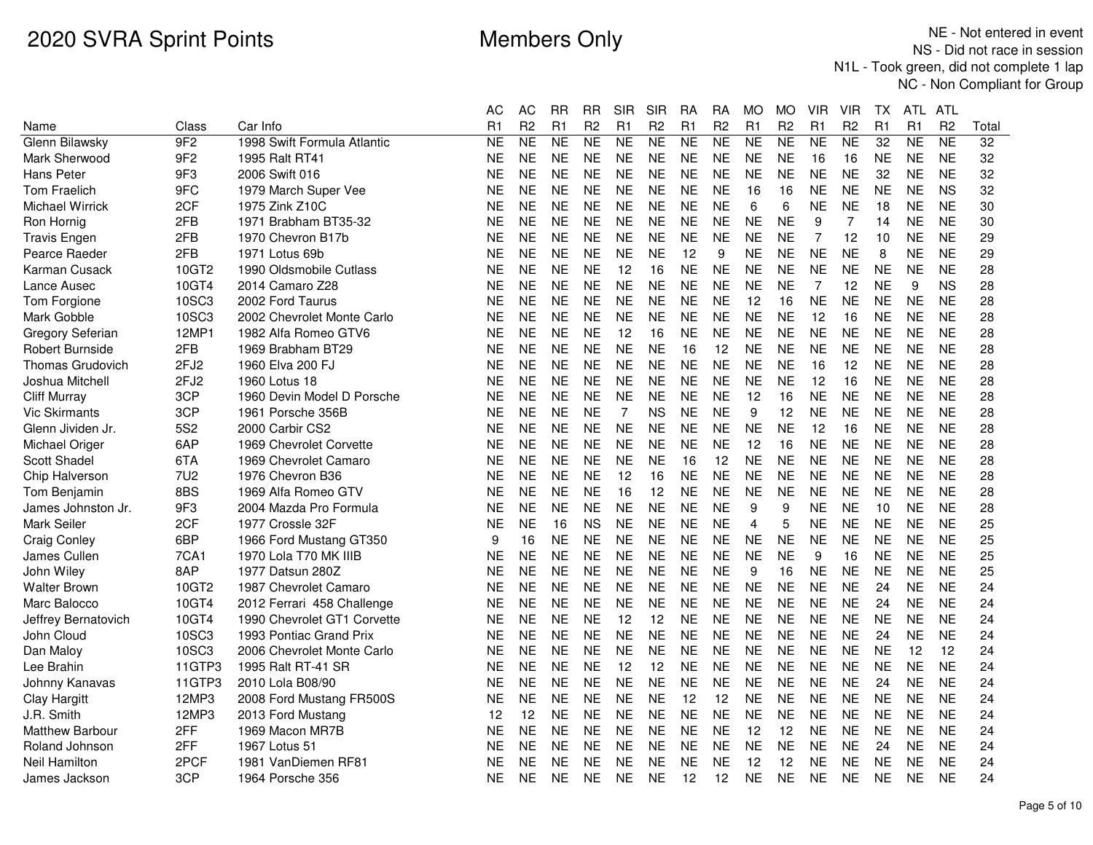|                        |                  |                             | АC             | АC             | RR        | RR             | SIR            | SIR            | RA             | RA             | МO             | МO             | VIR            | VIR            | ΙX             | ATL.      | ATL            |                 |
|------------------------|------------------|-----------------------------|----------------|----------------|-----------|----------------|----------------|----------------|----------------|----------------|----------------|----------------|----------------|----------------|----------------|-----------|----------------|-----------------|
| Name                   | Class            | Car Info                    | R <sub>1</sub> | R <sub>2</sub> | R1        | R <sub>2</sub> | R1             | R <sub>2</sub> | R <sub>1</sub> | R <sub>2</sub> | R1             | R <sub>2</sub> | R1             | R <sub>2</sub> | R <sub>1</sub> | R1        | R <sub>2</sub> | Total           |
| Glenn Bilawsky         | 9F2              | 1998 Swift Formula Atlantic | <b>NE</b>      | <b>NE</b>      | <b>NE</b> | NE             | <b>NE</b>      | <b>NE</b>      | <b>NE</b>      | <b>NE</b>      | <b>NE</b>      | <b>NE</b>      | <b>NE</b>      | <b>NE</b>      | 32             | <b>NE</b> | <b>NE</b>      | $\overline{32}$ |
| Mark Sherwood          | 9F <sub>2</sub>  | 1995 Ralt RT41              | <b>NE</b>      | <b>NE</b>      | <b>NE</b> | <b>NE</b>      | <b>NE</b>      | <b>NE</b>      | <b>NE</b>      | <b>NE</b>      | <b>NE</b>      | <b>NE</b>      | 16             | 16             | <b>NE</b>      | <b>NE</b> | <b>NE</b>      | 32              |
| Hans Peter             | 9F3              | 2006 Swift 016              | NE             | <b>NE</b>      | <b>NE</b> | <b>NE</b>      | <b>NE</b>      | <b>NE</b>      | <b>NE</b>      | <b>NE</b>      | <b>NE</b>      | NE             | <b>NE</b>      | <b>NE</b>      | 32             | <b>NE</b> | <b>NE</b>      | 32              |
| <b>Tom Fraelich</b>    | 9FC              | 1979 March Super Vee        | NE             | <b>NE</b>      | <b>NE</b> | <b>NE</b>      | <b>NE</b>      | <b>NE</b>      | <b>NE</b>      | <b>NE</b>      | 16             | 16             | <b>NE</b>      | <b>NE</b>      | <b>NE</b>      | <b>NE</b> | <b>NS</b>      | 32              |
| Michael Wirrick        | 2CF              | 1975 Zink Z10C              | NE             | <b>NE</b>      | <b>NE</b> | <b>NE</b>      | <b>NE</b>      | <b>NE</b>      | <b>NE</b>      | <b>NE</b>      | 6              | 6              | <b>NE</b>      | <b>NE</b>      | 18             | <b>NE</b> | <b>NE</b>      | 30              |
| Ron Hornig             | 2FB              | 1971 Brabham BT35-32        | NE             | <b>NE</b>      | <b>NE</b> | <b>NE</b>      | <b>NE</b>      | <b>NE</b>      | <b>NE</b>      | <b>NE</b>      | <b>NE</b>      | <b>NE</b>      | 9              | 7              | 14             | <b>NE</b> | <b>NE</b>      | 30              |
| <b>Travis Engen</b>    | 2FB              | 1970 Chevron B17b           | <b>NE</b>      | <b>NE</b>      | <b>NE</b> | <b>NE</b>      | <b>NE</b>      | <b>NE</b>      | <b>NE</b>      | <b>NE</b>      | <b>NE</b>      | <b>NE</b>      | 7              | 12             | 10             | <b>NE</b> | <b>NE</b>      | 29              |
| Pearce Raeder          | 2FB              | 1971 Lotus 69b              | <b>NE</b>      | <b>NE</b>      | <b>NE</b> | <b>NE</b>      | <b>NE</b>      | <b>NE</b>      | 12             | 9              | <b>NE</b>      | <b>NE</b>      | <b>NE</b>      | <b>NE</b>      | 8              | <b>NE</b> | <b>NE</b>      | 29              |
| Karman Cusack          | 10GT2            | 1990 Oldsmobile Cutlass     | <b>NE</b>      | <b>NE</b>      | <b>NE</b> | <b>NE</b>      | 12             | 16             | <b>NE</b>      | <b>NE</b>      | <b>NE</b>      | <b>NE</b>      | <b>NE</b>      | <b>NE</b>      | <b>NE</b>      | <b>NE</b> | <b>NE</b>      | 28              |
| Lance Ausec            | 10GT4            | 2014 Camaro Z28             | <b>NE</b>      | <b>NE</b>      | <b>NE</b> | <b>NE</b>      | <b>NE</b>      | <b>NE</b>      | <b>NE</b>      | <b>NE</b>      | <b>NE</b>      | <b>NE</b>      | $\overline{7}$ | 12             | <b>NE</b>      | 9         | <b>NS</b>      | 28              |
| Tom Forgione           | 10SC3            | 2002 Ford Taurus            | NE             | <b>NE</b>      | <b>NE</b> | <b>NE</b>      | <b>NE</b>      | <b>NE</b>      | <b>NE</b>      | NE             | 12             | 16             | <b>NE</b>      | <b>NE</b>      | <b>NE</b>      | <b>NE</b> | <b>NE</b>      | 28              |
| Mark Gobble            | 10SC3            | 2002 Chevrolet Monte Carlo  | <b>NE</b>      | <b>NE</b>      | <b>NE</b> | <b>NE</b>      | <b>NE</b>      | <b>NE</b>      | <b>NE</b>      | <b>NE</b>      | <b>NE</b>      | <b>NE</b>      | 12             | 16             | <b>NE</b>      | <b>NE</b> | <b>NE</b>      | 28              |
| Gregory Seferian       | 12MP1            | 1982 Alfa Romeo GTV6        | <b>NE</b>      | <b>NE</b>      | <b>NE</b> | <b>NE</b>      | 12             | 16             | <b>NE</b>      | <b>NE</b>      | <b>NE</b>      | <b>NE</b>      | <b>NE</b>      | <b>NE</b>      | <b>NE</b>      | <b>NE</b> | <b>NE</b>      | 28              |
| <b>Robert Burnside</b> | 2FB              | 1969 Brabham BT29           | NE             | <b>NE</b>      | <b>NE</b> | <b>NE</b>      | <b>NE</b>      | <b>NE</b>      | 16             | 12             | <b>NE</b>      | <b>NE</b>      | <b>NE</b>      | <b>NE</b>      | <b>NE</b>      | <b>NE</b> | <b>NE</b>      | 28              |
| Thomas Grudovich       | 2FJ <sub>2</sub> | 1960 Elva 200 FJ            | NE             | <b>NE</b>      | <b>NE</b> | <b>NE</b>      | <b>NE</b>      | <b>NE</b>      | <b>NE</b>      | <b>NE</b>      | <b>NE</b>      | <b>NE</b>      | 16             | 12             | <b>NE</b>      | <b>NE</b> | <b>NE</b>      | 28              |
| Joshua Mitchell        | 2FJ <sub>2</sub> | 1960 Lotus 18               | <b>NE</b>      | <b>NE</b>      | <b>NE</b> | <b>NE</b>      | <b>NE</b>      | <b>NE</b>      | <b>NE</b>      | <b>NE</b>      | <b>NE</b>      | <b>NE</b>      | 12             | 16             | <b>NE</b>      | <b>NE</b> | <b>NE</b>      | 28              |
| <b>Cliff Murray</b>    | 3CP              | 1960 Devin Model D Porsche  | <b>NE</b>      | <b>NE</b>      | <b>NE</b> | <b>NE</b>      | <b>NE</b>      | <b>NE</b>      | <b>NE</b>      | <b>NE</b>      | 12             | 16             | <b>NE</b>      | <b>NE</b>      | <b>NE</b>      | <b>NE</b> | <b>NE</b>      | 28              |
| <b>Vic Skirmants</b>   | 3CP              | 1961 Porsche 356B           | NE             | <b>NE</b>      | <b>NE</b> | <b>NE</b>      | $\overline{7}$ | <b>NS</b>      | <b>NE</b>      | <b>NE</b>      | 9              | 12             | <b>NE</b>      | <b>NE</b>      | <b>NE</b>      | <b>NE</b> | <b>NE</b>      | 28              |
| Glenn Jividen Jr.      | 5S <sub>2</sub>  | 2000 Carbir CS2             | <b>NE</b>      | <b>NE</b>      | <b>NE</b> | <b>NE</b>      | <b>NE</b>      | <b>NE</b>      | <b>NE</b>      | <b>NE</b>      | <b>NE</b>      | <b>NE</b>      | 12             | 16             | <b>NE</b>      | <b>NE</b> | <b>NE</b>      | 28              |
| Michael Origer         | 6AP              | 1969 Chevrolet Corvette     | <b>NE</b>      | <b>NE</b>      | <b>NE</b> | <b>NE</b>      | <b>NE</b>      | <b>NE</b>      | <b>NE</b>      | <b>NE</b>      | 12             | 16             | <b>NE</b>      | <b>NE</b>      | <b>NE</b>      | <b>NE</b> | <b>NE</b>      | 28              |
| Scott Shadel           | 6TA              | 1969 Chevrolet Camaro       | NE             | <b>NE</b>      | <b>NE</b> | <b>NE</b>      | <b>NE</b>      | <b>NE</b>      | 16             | 12             | <b>NE</b>      | <b>NE</b>      | <b>NE</b>      | <b>NE</b>      | <b>NE</b>      | <b>NE</b> | <b>NE</b>      | 28              |
| Chip Halverson         | 7U2              | 1976 Chevron B36            | NE             | <b>NE</b>      | <b>NE</b> | <b>NE</b>      | 12             | 16             | <b>NE</b>      | <b>NE</b>      | <b>NE</b>      | NE             | <b>NE</b>      | <b>NE</b>      | <b>NE</b>      | <b>NE</b> | <b>NE</b>      | 28              |
| Tom Benjamin           | 8BS              | 1969 Alfa Romeo GTV         | NE             | <b>NE</b>      | <b>NE</b> | <b>NE</b>      | 16             | 12             | <b>NE</b>      | <b>NE</b>      | <b>NE</b>      | <b>NE</b>      | <b>NE</b>      | <b>NE</b>      | <b>NE</b>      | <b>NE</b> | <b>NE</b>      | 28              |
| James Johnston Jr.     | 9F3              | 2004 Mazda Pro Formula      | <b>NE</b>      | <b>NE</b>      | <b>NE</b> | <b>NE</b>      | <b>NE</b>      | <b>NE</b>      | <b>NE</b>      | <b>NE</b>      | 9              | 9              | <b>NE</b>      | <b>NE</b>      | 10             | <b>NE</b> | <b>NE</b>      | 28              |
| Mark Seiler            | 2CF              | 1977 Crossle 32F            | <b>NE</b>      | <b>NE</b>      | 16        | <b>NS</b>      | <b>NE</b>      | <b>NE</b>      | <b>NE</b>      | <b>NE</b>      | $\overline{4}$ | 5              | <b>NE</b>      | <b>NE</b>      | <b>NE</b>      | <b>NE</b> | <b>NE</b>      | 25              |
| <b>Craig Conley</b>    | 6BP              | 1966 Ford Mustang GT350     | 9              | 16             | NE.       | <b>NE</b>      | <b>NE</b>      | <b>NE</b>      | <b>NE</b>      | <b>NE</b>      | <b>NE</b>      | <b>NE</b>      | <b>NE</b>      | <b>NE</b>      | <b>NE</b>      | <b>NE</b> | <b>NE</b>      | 25              |
| James Cullen           | 7CA1             | 1970 Lola T70 MK IIIB       | <b>NE</b>      | <b>NE</b>      | <b>NE</b> | <b>NE</b>      | <b>NE</b>      | <b>NE</b>      | <b>NE</b>      | <b>NE</b>      | <b>NE</b>      | <b>NE</b>      | 9              | 16             | <b>NE</b>      | <b>NE</b> | <b>NE</b>      | 25              |
| John Wiley             | 8AP              | 1977 Datsun 280Z            | NE             | <b>NE</b>      | <b>NE</b> | <b>NE</b>      | <b>NE</b>      | <b>NE</b>      | <b>NE</b>      | <b>NE</b>      | 9              | 16             | <b>NE</b>      | <b>NE</b>      | <b>NE</b>      | <b>NE</b> | <b>NE</b>      | 25              |
| <b>Walter Brown</b>    | 10GT2            | 1987 Chevrolet Camaro       | NE             | <b>NE</b>      | <b>NE</b> | <b>NE</b>      | <b>NE</b>      | <b>NE</b>      | <b>NE</b>      | <b>NE</b>      | <b>NE</b>      | <b>NE</b>      | <b>NE</b>      | <b>NE</b>      | 24             | <b>NE</b> | <b>NE</b>      | 24              |
| Marc Balocco           | 10GT4            | 2012 Ferrari 458 Challenge  | <b>NE</b>      | <b>NE</b>      | NE        | <b>NE</b>      | <b>NE</b>      | <b>NE</b>      | <b>NE</b>      | NE             | <b>NE</b>      | <b>NE</b>      | <b>NE</b>      | <b>NE</b>      | 24             | <b>NE</b> | <b>NE</b>      | 24              |
| Jeffrey Bernatovich    | 10GT4            | 1990 Chevrolet GT1 Corvette | <b>NE</b>      | <b>NE</b>      | <b>NE</b> | <b>NE</b>      | 12             | 12             | <b>NE</b>      | <b>NE</b>      | <b>NE</b>      | <b>NE</b>      | <b>NE</b>      | <b>NE</b>      | <b>NE</b>      | <b>NE</b> | <b>NE</b>      | 24              |
| John Cloud             | 10SC3            | 1993 Pontiac Grand Prix     | <b>NE</b>      | <b>NE</b>      | <b>NE</b> | <b>NE</b>      | <b>NE</b>      | <b>NE</b>      | <b>NE</b>      | <b>NE</b>      | <b>NE</b>      | <b>NE</b>      | <b>NE</b>      | <b>NE</b>      | 24             | <b>NE</b> | <b>NE</b>      | 24              |
| Dan Maloy              | <b>10SC3</b>     | 2006 Chevrolet Monte Carlo  | <b>NE</b>      | <b>NE</b>      | <b>NE</b> | <b>NE</b>      | <b>NE</b>      | <b>NE</b>      | <b>NE</b>      | <b>NE</b>      | <b>NE</b>      | <b>NE</b>      | <b>NE</b>      | <b>NE</b>      | <b>NE</b>      | 12        | 12             | 24              |
| Lee Brahin             | 11GTP3           | 1995 Ralt RT-41 SR          | <b>NE</b>      | <b>NE</b>      | NE.       | <b>NE</b>      | 12             | 12             | <b>NE</b>      | <b>NE</b>      | <b>NE</b>      | <b>NE</b>      | <b>NE</b>      | <b>NE</b>      | <b>NE</b>      | <b>NE</b> | <b>NE</b>      | 24              |
| Johnny Kanavas         | 11GTP3           | 2010 Lola B08/90            | <b>NE</b>      | <b>NE</b>      | <b>NE</b> | <b>NE</b>      | <b>NE</b>      | <b>NE</b>      | <b>NE</b>      | <b>NE</b>      | <b>NE</b>      | <b>NE</b>      | <b>NE</b>      | <b>NE</b>      | 24             | <b>NE</b> | <b>NE</b>      | 24              |
| Clay Hargitt           | 12MP3            | 2008 Ford Mustang FR500S    | NE             | <b>NE</b>      | <b>NE</b> | <b>NE</b>      | <b>NE</b>      | <b>NE</b>      | 12             | 12             | <b>NE</b>      | <b>NE</b>      | <b>NE</b>      | <b>NE</b>      | <b>NE</b>      | <b>NE</b> | <b>NE</b>      | 24              |
| J.R. Smith             | 12MP3            | 2013 Ford Mustang           | 12             | 12             | <b>NE</b> | <b>NE</b>      | <b>NE</b>      | <b>NE</b>      | <b>NE</b>      | <b>NE</b>      | <b>NE</b>      | <b>NE</b>      | <b>NE</b>      | <b>NE</b>      | <b>NE</b>      | <b>NE</b> | <b>NE</b>      | 24              |
| <b>Matthew Barbour</b> | 2FF              | 1969 Macon MR7B             | <b>NE</b>      | <b>NE</b>      | <b>NE</b> | <b>NE</b>      | <b>NE</b>      | <b>NE</b>      | <b>NE</b>      | NE             | 12             | 12             | <b>NE</b>      | <b>NE</b>      | <b>NE</b>      | <b>NE</b> | <b>NE</b>      | 24              |
| Roland Johnson         | 2FF              | 1967 Lotus 51               | <b>NE</b>      | <b>NE</b>      | <b>NE</b> | <b>NE</b>      | <b>NE</b>      | <b>NE</b>      | <b>NE</b>      | <b>NE</b>      | <b>NE</b>      | <b>NE</b>      | <b>NE</b>      | <b>NE</b>      | 24             | <b>NE</b> | <b>NE</b>      | 24              |
| Neil Hamilton          | 2PCF             | 1981 VanDiemen RF81         | NE             | <b>NE</b>      | <b>NE</b> | <b>NE</b>      | <b>NE</b>      | <b>NE</b>      | <b>NE</b>      | <b>NE</b>      | 12             | 12             | <b>NE</b>      | <b>NE</b>      | <b>NE</b>      | <b>NE</b> | <b>NE</b>      | 24              |
| James Jackson          | 3CP              | 1964 Porsche 356            | NE             | <b>NE</b>      | <b>NE</b> | <b>NE</b>      | <b>NE</b>      | <b>NE</b>      | 12             | 12             | <b>NE</b>      | <b>NE</b>      | <b>NE</b>      | <b>NE</b>      | <b>NE</b>      | <b>NE</b> | <b>NE</b>      | 24              |
|                        |                  |                             |                |                |           |                |                |                |                |                |                |                |                |                |                |           |                |                 |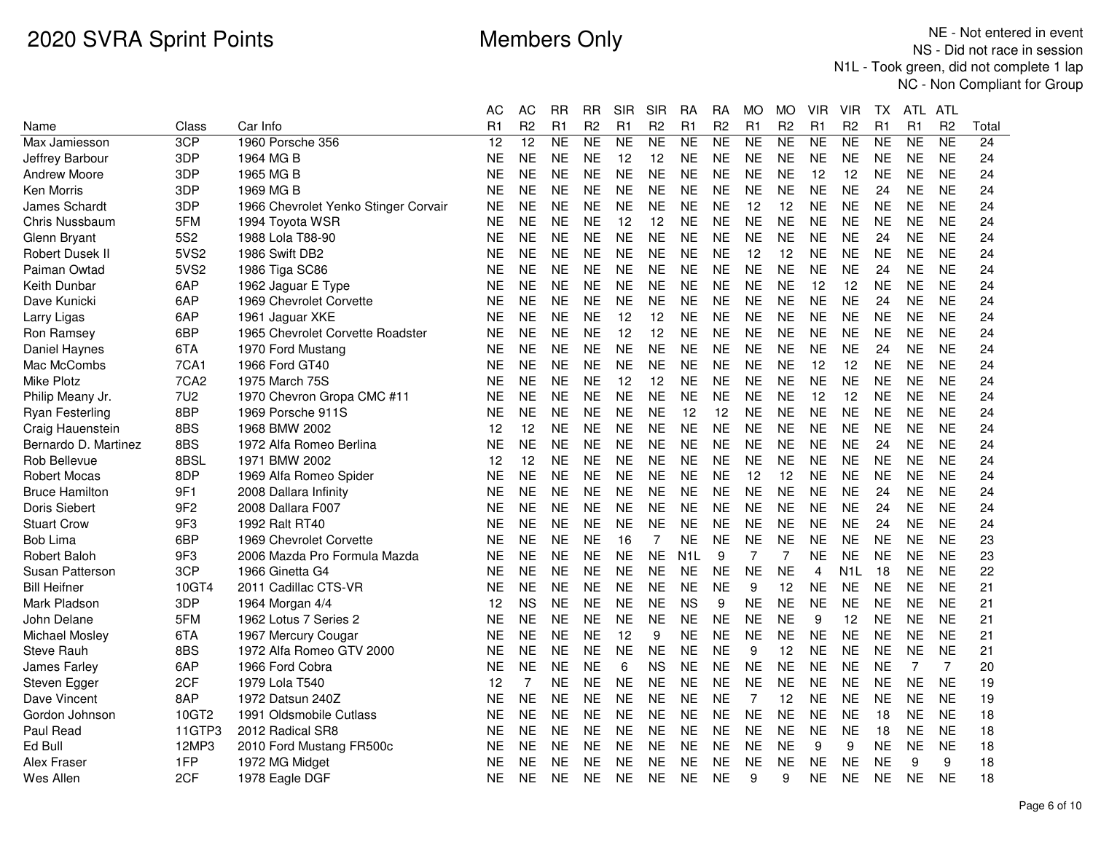|                        |                  |                                      | АC        | AC              | RR        | RR             | SIR            | <b>SIR</b>     | RA               | RA             | МO             | МO             | VIR            | VIR              | TХ             | ATL.      | ATL            |       |
|------------------------|------------------|--------------------------------------|-----------|-----------------|-----------|----------------|----------------|----------------|------------------|----------------|----------------|----------------|----------------|------------------|----------------|-----------|----------------|-------|
| Name                   | Class            | Car Info                             | R1        | R <sub>2</sub>  | R1        | R <sub>2</sub> | R1             | R <sub>2</sub> | R1               | R <sub>2</sub> | R1             | R <sub>2</sub> | R1             | R <sub>2</sub>   | R <sub>1</sub> | R1        | R <sub>2</sub> | Total |
| Max Jamiesson          | 3CP              | 1960 Porsche 356                     | 12        | $\overline{12}$ | <b>NE</b> | <b>NE</b>      | N <sub>E</sub> | <b>NE</b>      | <b>NE</b>        | <b>NE</b>      | NE             | NE             | <b>NE</b>      | <b>NE</b>        | <b>NE</b>      | NE        | <b>NE</b>      | 24    |
| Jeffrey Barbour        | 3DP              | 1964 MG B                            | <b>NE</b> | <b>NE</b>       | <b>NE</b> | <b>NE</b>      | 12             | 12             | <b>NE</b>        | <b>NE</b>      | <b>NE</b>      | <b>NE</b>      | <b>NE</b>      | <b>NE</b>        | <b>NE</b>      | <b>NE</b> | <b>NE</b>      | 24    |
| <b>Andrew Moore</b>    | 3DP              | 1965 MG B                            | <b>NE</b> | <b>NE</b>       | <b>NE</b> | <b>NE</b>      | <b>NE</b>      | NE             | <b>NE</b>        | <b>NE</b>      | <b>NE</b>      | NE.            | 12             | 12               | <b>NE</b>      | <b>NE</b> | <b>NE</b>      | 24    |
| Ken Morris             | 3DP              | 1969 MG B                            | <b>NE</b> | <b>NE</b>       | <b>NE</b> | <b>NE</b>      | <b>NE</b>      | <b>NE</b>      | <b>NE</b>        | <b>NE</b>      | <b>NE</b>      | <b>NE</b>      | <b>NE</b>      | <b>NE</b>        | 24             | <b>NE</b> | <b>NE</b>      | 24    |
| <b>James Schardt</b>   | 3DP              | 1966 Chevrolet Yenko Stinger Corvair | NE.       | <b>NE</b>       | <b>NE</b> | <b>NE</b>      | <b>NE</b>      | <b>NE</b>      | <b>NE</b>        | <b>NE</b>      | 12             | 12             | <b>NE</b>      | <b>NE</b>        | <b>NE</b>      | <b>NE</b> | <b>NE</b>      | 24    |
| Chris Nussbaum         | 5FM              | 1994 Toyota WSR                      | <b>NE</b> | <b>NE</b>       | <b>NE</b> | <b>NE</b>      | 12             | 12             | <b>NE</b>        | <b>NE</b>      | <b>NE</b>      | <b>NE</b>      | <b>NE</b>      | <b>NE</b>        | <b>NE</b>      | <b>NE</b> | <b>NE</b>      | 24    |
| Glenn Bryant           | 5S <sub>2</sub>  | 1988 Lola T88-90                     | NE.       | <b>NE</b>       | <b>NE</b> | <b>NE</b>      | <b>NE</b>      | <b>NE</b>      | <b>NE</b>        | <b>NE</b>      | <b>NE</b>      | NE.            | <b>NE</b>      | <b>NE</b>        | 24             | <b>NE</b> | <b>NE</b>      | 24    |
| <b>Robert Dusek II</b> | 5VS2             | 1986 Swift DB2                       | <b>NE</b> | <b>NE</b>       | <b>NE</b> | <b>NE</b>      | <b>NE</b>      | <b>NE</b>      | <b>NE</b>        | <b>NE</b>      | 12             | 12             | <b>NE</b>      | <b>NE</b>        | <b>NE</b>      | <b>NE</b> | <b>NE</b>      | 24    |
| Paiman Owtad           | 5VS2             | 1986 Tiga SC86                       | <b>NE</b> | <b>NE</b>       | <b>NE</b> | <b>NE</b>      | <b>NE</b>      | <b>NE</b>      | <b>NE</b>        | <b>NE</b>      | <b>NE</b>      | <b>NE</b>      | <b>NE</b>      | <b>NE</b>        | 24             | <b>NE</b> | <b>NE</b>      | 24    |
| Keith Dunbar           | 6AP              | 1962 Jaguar E Type                   | <b>NE</b> | <b>NE</b>       | <b>NE</b> | <b>NE</b>      | <b>NE</b>      | <b>NE</b>      | <b>NE</b>        | <b>NE</b>      | <b>NE</b>      | <b>NE</b>      | 12             | 12               | <b>NE</b>      | <b>NE</b> | <b>NE</b>      | 24    |
| Dave Kunicki           | 6AP              | 1969 Chevrolet Corvette              | <b>NE</b> | <b>NE</b>       | <b>NE</b> | <b>NE</b>      | <b>NE</b>      | <b>NE</b>      | <b>NE</b>        | <b>NE</b>      | <b>NE</b>      | <b>NE</b>      | <b>NE</b>      | <b>NE</b>        | 24             | <b>NE</b> | <b>NE</b>      | 24    |
| Larry Ligas            | 6AP              | 1961 Jaguar XKE                      | <b>NE</b> | <b>NE</b>       | <b>NE</b> | <b>NE</b>      | 12             | 12             | <b>NE</b>        | <b>NE</b>      | <b>NE</b>      | <b>NE</b>      | <b>NE</b>      | <b>NE</b>        | <b>NE</b>      | <b>NE</b> | <b>NE</b>      | 24    |
| Ron Ramsey             | 6BP              | 1965 Chevrolet Corvette Roadster     | <b>NE</b> | <b>NE</b>       | <b>NE</b> | <b>NE</b>      | 12             | 12             | <b>NE</b>        | <b>NE</b>      | <b>NE</b>      | <b>NE</b>      | <b>NE</b>      | <b>NE</b>        | <b>NE</b>      | <b>NE</b> | <b>NE</b>      | 24    |
| Daniel Haynes          | 6TA              | 1970 Ford Mustang                    | <b>NE</b> | <b>NE</b>       | <b>NE</b> | <b>NE</b>      | <b>NE</b>      | <b>NE</b>      | <b>NE</b>        | <b>NE</b>      | <b>NE</b>      | <b>NE</b>      | <b>NE</b>      | <b>NE</b>        | 24             | <b>NE</b> | <b>NE</b>      | 24    |
| Mac McCombs            | 7CA1             | 1966 Ford GT40                       | <b>NE</b> | <b>NE</b>       | <b>NE</b> | <b>NE</b>      | <b>NE</b>      | <b>NE</b>      | <b>NE</b>        | <b>NE</b>      | <b>NE</b>      | <b>NE</b>      | 12             | 12               | <b>NE</b>      | <b>NE</b> | <b>NE</b>      | 24    |
| <b>Mike Plotz</b>      | 7CA <sub>2</sub> | 1975 March 75S                       | <b>NE</b> | <b>NE</b>       | <b>NE</b> | <b>NE</b>      | 12             | 12             | <b>NE</b>        | <b>NE</b>      | <b>NE</b>      | <b>NE</b>      | <b>NE</b>      | <b>NE</b>        | <b>NE</b>      | <b>NE</b> | <b>NE</b>      | 24    |
| Philip Meany Jr.       | <b>7U2</b>       | 1970 Chevron Gropa CMC #11           | <b>NE</b> | <b>NE</b>       | <b>NE</b> | <b>NE</b>      | <b>NE</b>      | <b>NE</b>      | <b>NE</b>        | <b>NE</b>      | <b>NE</b>      | <b>NE</b>      | 12             | 12               | <b>NE</b>      | <b>NE</b> | <b>NE</b>      | 24    |
| <b>Ryan Festerling</b> | 8BP              | 1969 Porsche 911S                    | <b>NE</b> | <b>NE</b>       | <b>NE</b> | <b>NE</b>      | <b>NE</b>      | <b>NE</b>      | 12               | 12             | <b>NE</b>      | <b>NE</b>      | <b>NE</b>      | <b>NE</b>        | <b>NE</b>      | <b>NE</b> | <b>NE</b>      | 24    |
| Craig Hauenstein       | 8BS              | 1968 BMW 2002                        | 12        | 12              | <b>NE</b> | <b>NE</b>      | <b>NE</b>      | <b>NE</b>      | <b>NE</b>        | <b>NE</b>      | <b>NE</b>      | <b>NE</b>      | <b>NE</b>      | <b>NE</b>        | <b>NE</b>      | <b>NE</b> | <b>NE</b>      | 24    |
| Bernardo D. Martinez   | 8BS              | 1972 Alfa Romeo Berlina              | <b>NE</b> | <b>NE</b>       | <b>NE</b> | <b>NE</b>      | <b>NE</b>      | <b>NE</b>      | <b>NE</b>        | <b>NE</b>      | <b>NE</b>      | <b>NE</b>      | <b>NE</b>      | <b>NE</b>        | 24             | <b>NE</b> | <b>NE</b>      | 24    |
| Rob Bellevue           | 8BSL             | 1971 BMW 2002                        | 12        | 12              | <b>NE</b> | <b>NE</b>      | <b>NE</b>      | <b>NE</b>      | <b>NE</b>        | <b>NE</b>      | <b>NE</b>      | <b>NE</b>      | <b>NE</b>      | <b>NE</b>        | <b>NE</b>      | <b>NE</b> | <b>NE</b>      | 24    |
| <b>Robert Mocas</b>    | 8DP              | 1969 Alfa Romeo Spider               | NE        | <b>NE</b>       | <b>NE</b> | <b>NE</b>      | <b>NE</b>      | <b>NE</b>      | <b>NE</b>        | <b>NE</b>      | 12             | 12             | <b>NE</b>      | <b>NE</b>        | <b>NE</b>      | <b>NE</b> | <b>NE</b>      | 24    |
| <b>Bruce Hamilton</b>  | 9F1              | 2008 Dallara Infinity                | NE        | <b>NE</b>       | <b>NE</b> | <b>NE</b>      | <b>NE</b>      | <b>NE</b>      | <b>NE</b>        | <b>NE</b>      | <b>NE</b>      | <b>NE</b>      | <b>NE</b>      | <b>NE</b>        | 24             | <b>NE</b> | <b>NE</b>      | 24    |
| Doris Siebert          | 9F <sub>2</sub>  | 2008 Dallara F007                    | <b>NE</b> | <b>NE</b>       | <b>NE</b> | <b>NE</b>      | <b>NE</b>      | <b>NE</b>      | <b>NE</b>        | <b>NE</b>      | <b>NE</b>      | <b>NE</b>      | <b>NE</b>      | <b>NE</b>        | 24             | <b>NE</b> | <b>NE</b>      | 24    |
| <b>Stuart Crow</b>     | 9F3              | 1992 Ralt RT40                       | <b>NE</b> | <b>NE</b>       | <b>NE</b> | <b>NE</b>      | <b>NE</b>      | <b>NE</b>      | <b>NE</b>        | <b>NE</b>      | <b>NE</b>      | <b>NE</b>      | <b>NE</b>      | <b>NE</b>        | 24             | <b>NE</b> | <b>NE</b>      | 24    |
| <b>Bob Lima</b>        | 6BP              | 1969 Chevrolet Corvette              | <b>NE</b> | <b>NE</b>       | <b>NE</b> | <b>NE</b>      | 16             | 7              | <b>NE</b>        | <b>NE</b>      | <b>NE</b>      | <b>NE</b>      | <b>NE</b>      | <b>NE</b>        | <b>NE</b>      | <b>NE</b> | <b>NE</b>      | 23    |
| Robert Baloh           | 9F3              | 2006 Mazda Pro Formula Mazda         | <b>NE</b> | <b>NE</b>       | <b>NE</b> | <b>NE</b>      | <b>NE</b>      | <b>NE</b>      | N <sub>1</sub> L | 9              | 7              | 7              | <b>NE</b>      | <b>NE</b>        | <b>NE</b>      | <b>NE</b> | <b>NE</b>      | 23    |
| Susan Patterson        | 3CP              | 1966 Ginetta G4                      | <b>NE</b> | <b>NE</b>       | <b>NE</b> | <b>NE</b>      | <b>NE</b>      | <b>NE</b>      | <b>NE</b>        | <b>NE</b>      | <b>NE</b>      | <b>NE</b>      | $\overline{4}$ | N <sub>1</sub> L | 18             | <b>NE</b> | <b>NE</b>      | 22    |
| <b>Bill Heifner</b>    | 10GT4            | 2011 Cadillac CTS-VR                 | <b>NE</b> | <b>NE</b>       | <b>NE</b> | <b>NE</b>      | <b>NE</b>      | <b>NE</b>      | <b>NE</b>        | <b>NE</b>      | 9              | 12             | <b>NE</b>      | <b>NE</b>        | <b>NE</b>      | <b>NE</b> | <b>NE</b>      | 21    |
| Mark Pladson           | 3DP              | 1964 Morgan 4/4                      | 12        | <b>NS</b>       | NE        | <b>NE</b>      | <b>NE</b>      | <b>NE</b>      | <b>NS</b>        | 9              | <b>NE</b>      | <b>NE</b>      | <b>NE</b>      | <b>NE</b>        | <b>NE</b>      | <b>NE</b> | <b>NE</b>      | 21    |
| John Delane            | 5FM              | 1962 Lotus 7 Series 2                | <b>NE</b> | <b>NE</b>       | <b>NE</b> | <b>NE</b>      | <b>NE</b>      | <b>NE</b>      | <b>NE</b>        | <b>NE</b>      | <b>NE</b>      | <b>NE</b>      | 9              | 12               | <b>NE</b>      | <b>NE</b> | <b>NE</b>      | 21    |
| Michael Mosley         | 6TA              | 1967 Mercury Cougar                  | <b>NE</b> | <b>NE</b>       | <b>NE</b> | <b>NE</b>      | 12             | 9              | <b>NE</b>        | <b>NE</b>      | <b>NE</b>      | <b>NE</b>      | <b>NE</b>      | <b>NE</b>        | <b>NE</b>      | <b>NE</b> | <b>NE</b>      | 21    |
| Steve Rauh             | 8BS              | 1972 Alfa Romeo GTV 2000             | <b>NE</b> | <b>NE</b>       | <b>NE</b> | <b>NE</b>      | <b>NE</b>      | <b>NE</b>      | <b>NE</b>        | <b>NE</b>      | 9              | 12             | <b>NE</b>      | <b>NE</b>        | <b>NE</b>      | <b>NE</b> | <b>NE</b>      | 21    |
| James Farley           | 6AP              | 1966 Ford Cobra                      | <b>NE</b> | <b>NE</b>       | <b>NE</b> | <b>NE</b>      | 6              | <b>NS</b>      | <b>NE</b>        | <b>NE</b>      | <b>NE</b>      | <b>NE</b>      | <b>NE</b>      | <b>NE</b>        | <b>NE</b>      | 7         | $\overline{7}$ | 20    |
| Steven Egger           | 2CF              | 1979 Lola T540                       | 12        | 7               | <b>NE</b> | <b>NE</b>      | <b>NE</b>      | <b>NE</b>      | <b>NE</b>        | <b>NE</b>      | <b>NE</b>      | <b>NE</b>      | <b>NE</b>      | <b>NE</b>        | <b>NE</b>      | <b>NE</b> | <b>NE</b>      | 19    |
| Dave Vincent           | 8AP              | 1972 Datsun 240Z                     | <b>NE</b> | <b>NE</b>       | <b>NE</b> | <b>NE</b>      | <b>NE</b>      | <b>NE</b>      | <b>NE</b>        | <b>NE</b>      | $\overline{7}$ | 12             | <b>NE</b>      | <b>NE</b>        | <b>NE</b>      | <b>NE</b> | <b>NE</b>      | 19    |
| Gordon Johnson         | 10GT2            | 1991 Oldsmobile Cutlass              | <b>NE</b> | <b>NE</b>       | <b>NE</b> | <b>NE</b>      | <b>NE</b>      | <b>NE</b>      | <b>NE</b>        | <b>NE</b>      | <b>NE</b>      | <b>NE</b>      | <b>NE</b>      | <b>NE</b>        | 18             | <b>NE</b> | <b>NE</b>      | 18    |
| Paul Read              | 11GTP3           | 2012 Radical SR8                     | <b>NE</b> | <b>NE</b>       | <b>NE</b> | <b>NE</b>      | <b>NE</b>      | <b>NE</b>      | <b>NE</b>        | <b>NE</b>      | <b>NE</b>      | <b>NE</b>      | <b>NE</b>      | <b>NE</b>        | 18             | <b>NE</b> | <b>NE</b>      | 18    |
| Ed Bull                | 12MP3            | 2010 Ford Mustang FR500c             | <b>NE</b> | <b>NE</b>       | <b>NE</b> | <b>NE</b>      | <b>NE</b>      | <b>NE</b>      | <b>NE</b>        | <b>NE</b>      | <b>NE</b>      | <b>NE</b>      | 9              | 9                | <b>NE</b>      | <b>NE</b> | <b>NE</b>      | 18    |
| Alex Fraser            | 1FP              | 1972 MG Midget                       | NE        | <b>NE</b>       | <b>NE</b> | <b>NE</b>      | <b>NE</b>      | <b>NE</b>      | <b>NE</b>        | <b>NE</b>      | <b>NE</b>      | <b>NE</b>      | <b>NE</b>      | <b>NE</b>        | <b>NE</b>      | 9         | 9              | 18    |
| Wes Allen              | 2CF              | 1978 Eagle DGF                       | <b>NE</b> | <b>NE</b>       | <b>NE</b> | <b>NE</b>      | <b>NE</b>      | <b>NE</b>      | <b>NE</b>        | <b>NE</b>      | 9              | 9              | <b>NE</b>      | <b>NE</b>        | <b>NE</b>      | <b>NE</b> | <b>NE</b>      | 18    |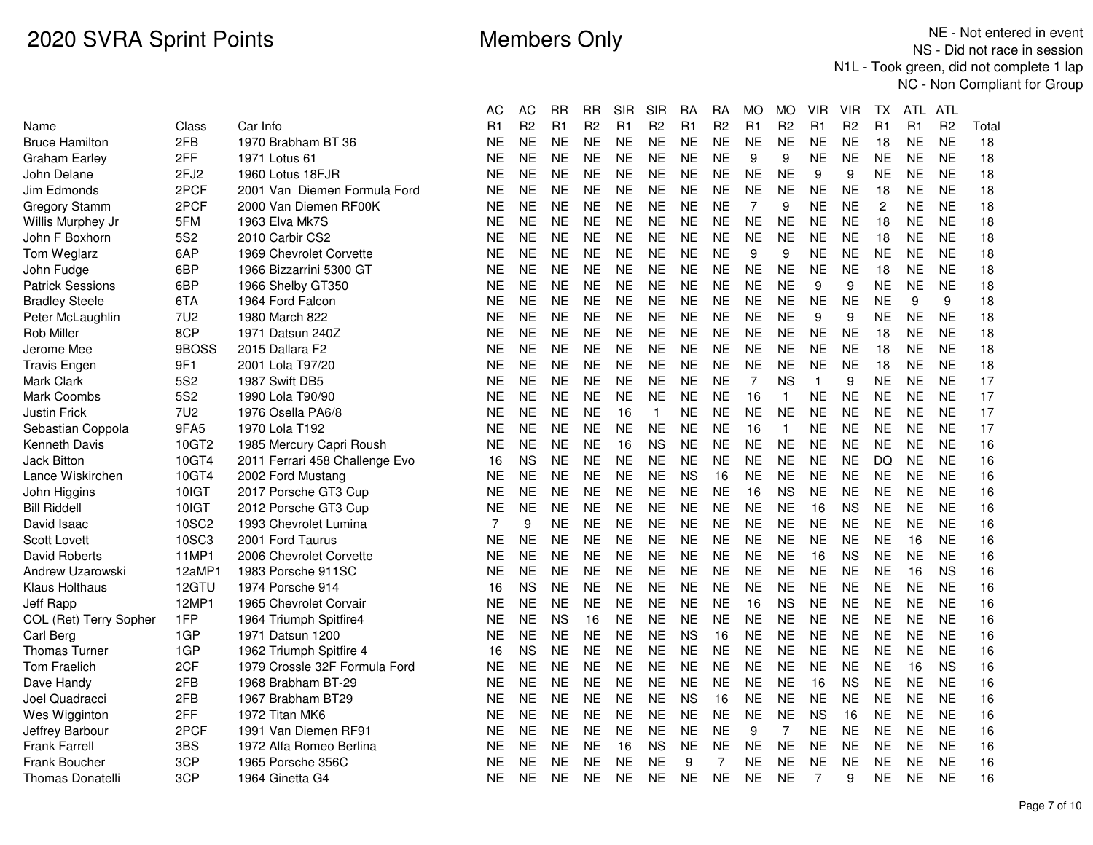|                         |                  |                                | АC        | AC             | RR             | RR             | SIR       | <b>SIR</b>     | RA        | RA             | МO             | МO             | VIR          | VIR            | TХ              | ATL.      | ATL            |       |
|-------------------------|------------------|--------------------------------|-----------|----------------|----------------|----------------|-----------|----------------|-----------|----------------|----------------|----------------|--------------|----------------|-----------------|-----------|----------------|-------|
| Name                    | Class            | Car Info                       | R1        | R <sub>2</sub> | R <sub>1</sub> | R <sub>2</sub> | R1        | R <sub>2</sub> | R1        | R <sub>2</sub> | R <sub>1</sub> | R <sub>2</sub> | R1           | R <sub>2</sub> | R <sub>1</sub>  | R1        | R <sub>2</sub> | Total |
| <b>Bruce Hamilton</b>   | 2FB              | 1970 Brabham BT 36             | <b>NE</b> | <b>NE</b>      | <b>NE</b>      | <b>NE</b>      | <b>NE</b> | <b>NE</b>      | <b>NE</b> | <b>NE</b>      | <b>NE</b>      | <b>NE</b>      | <b>NE</b>    | <b>NE</b>      | $\overline{18}$ | <b>NE</b> | <b>NE</b>      | 18    |
| <b>Graham Earley</b>    | 2FF              | 1971 Lotus 61                  | <b>NE</b> | <b>NE</b>      | <b>NE</b>      | <b>NE</b>      | <b>NE</b> | <b>NE</b>      | <b>NE</b> | <b>NE</b>      | 9              | 9              | <b>NE</b>    | <b>NE</b>      | <b>NE</b>       | <b>NE</b> | <b>NE</b>      | 18    |
| John Delane             | 2FJ <sub>2</sub> | 1960 Lotus 18FJR               | <b>NE</b> | <b>NE</b>      | <b>NE</b>      | <b>NE</b>      | <b>NE</b> | <b>NE</b>      | <b>NE</b> | <b>NE</b>      | <b>NE</b>      | <b>NE</b>      | 9            | 9              | <b>NE</b>       | <b>NE</b> | <b>NE</b>      | 18    |
| Jim Edmonds             | 2PCF             | 2001 Van Diemen Formula Ford   | NE        | <b>NE</b>      | <b>NE</b>      | <b>NE</b>      | <b>NE</b> | <b>NE</b>      | <b>NE</b> | <b>NE</b>      | <b>NE</b>      | <b>NE</b>      | <b>NE</b>    | <b>NE</b>      | 18              | <b>NE</b> | <b>NE</b>      | 18    |
| <b>Gregory Stamm</b>    | 2PCF             | 2000 Van Diemen RF00K          | ΝE        | <b>NE</b>      | <b>NE</b>      | <b>NE</b>      | <b>NE</b> | <b>NE</b>      | <b>NE</b> | <b>NE</b>      | $\overline{7}$ | 9              | <b>NE</b>    | <b>NE</b>      | $\overline{c}$  | <b>NE</b> | <b>NE</b>      | 18    |
| Willis Murphey Jr       | 5FM              | 1963 Elva Mk7S                 | NE        | <b>NE</b>      | <b>NE</b>      | <b>NE</b>      | <b>NE</b> | <b>NE</b>      | <b>NE</b> | <b>NE</b>      | <b>NE</b>      | <b>NE</b>      | <b>NE</b>    | <b>NE</b>      | 18              | <b>NE</b> | <b>NE</b>      | 18    |
| John F Boxhorn          | 5S <sub>2</sub>  | 2010 Carbir CS2                | NE        | <b>NE</b>      | <b>NE</b>      | <b>NE</b>      | <b>NE</b> | <b>NE</b>      | <b>NE</b> | <b>NE</b>      | <b>NE</b>      | <b>NE</b>      | <b>NE</b>    | <b>NE</b>      | 18              | <b>NE</b> | <b>NE</b>      | 18    |
| Tom Weglarz             | 6AP              | 1969 Chevrolet Corvette        | NE        | <b>NE</b>      | <b>NE</b>      | <b>NE</b>      | <b>NE</b> | <b>NE</b>      | <b>NE</b> | <b>NE</b>      | 9              | 9              | <b>NE</b>    | <b>NE</b>      | <b>NE</b>       | <b>NE</b> | <b>NE</b>      | 18    |
| John Fudge              | 6BP              | 1966 Bizzarrini 5300 GT        | NE        | <b>NE</b>      | <b>NE</b>      | <b>NE</b>      | <b>NE</b> | <b>NE</b>      | <b>NE</b> | <b>NE</b>      | <b>NE</b>      | <b>NE</b>      | <b>NE</b>    | <b>NE</b>      | 18              | <b>NE</b> | <b>NE</b>      | 18    |
| <b>Patrick Sessions</b> | 6BP              | 1966 Shelby GT350              | NE        | <b>NE</b>      | <b>NE</b>      | <b>NE</b>      | <b>NE</b> | <b>NE</b>      | <b>NE</b> | <b>NE</b>      | <b>NE</b>      | <b>NE</b>      | 9            | 9              | <b>NE</b>       | <b>NE</b> | <b>NE</b>      | 18    |
| <b>Bradley Steele</b>   | 6TA              | 1964 Ford Falcon               | ΝE        | <b>NE</b>      | <b>NE</b>      | <b>NE</b>      | <b>NE</b> | <b>NE</b>      | <b>NE</b> | NE             | <b>NE</b>      | NE             | <b>NE</b>    | <b>NE</b>      | <b>NE</b>       | 9         | 9              | 18    |
| Peter McLaughlin        | 7U <sub>2</sub>  | 1980 March 822                 | NE        | <b>NE</b>      | <b>NE</b>      | <b>NE</b>      | <b>NE</b> | <b>NE</b>      | <b>NE</b> | <b>NE</b>      | <b>NE</b>      | <b>NE</b>      | 9            | 9              | <b>NE</b>       | <b>NE</b> | <b>NE</b>      | 18    |
| <b>Rob Miller</b>       | 8CP              | 1971 Datsun 240Z               | NE.       | <b>NE</b>      | <b>NE</b>      | <b>NE</b>      | <b>NE</b> | <b>NE</b>      | <b>NE</b> | <b>NE</b>      | <b>NE</b>      | NE             | <b>NE</b>    | <b>NE</b>      | 18              | <b>NE</b> | <b>NE</b>      | 18    |
| Jerome Mee              | 9BOSS            | 2015 Dallara F2                | <b>NE</b> | <b>NE</b>      | <b>NE</b>      | <b>NE</b>      | <b>NE</b> | <b>NE</b>      | <b>NE</b> | <b>NE</b>      | <b>NE</b>      | <b>NE</b>      | <b>NE</b>    | <b>NE</b>      | 18              | <b>NE</b> | <b>NE</b>      | 18    |
| <b>Travis Engen</b>     | 9F1              | 2001 Lola T97/20               | ΝE        | <b>NE</b>      | <b>NE</b>      | <b>NE</b>      | <b>NE</b> | <b>NE</b>      | <b>NE</b> | <b>NE</b>      | <b>NE</b>      | <b>NE</b>      | <b>NE</b>    | <b>NE</b>      | 18              | <b>NE</b> | <b>NE</b>      | 18    |
| Mark Clark              | <b>5S2</b>       | 1987 Swift DB5                 | <b>NE</b> | <b>NE</b>      | <b>NE</b>      | <b>NE</b>      | <b>NE</b> | <b>NE</b>      | <b>NE</b> | <b>NE</b>      | $\overline{7}$ | <b>NS</b>      | $\mathbf{1}$ | 9              | <b>NE</b>       | <b>NE</b> | <b>NE</b>      | 17    |
| Mark Coombs             | 5S <sub>2</sub>  | 1990 Lola T90/90               | NE        | <b>NE</b>      | <b>NE</b>      | <b>NE</b>      | <b>NE</b> | <b>NE</b>      | <b>NE</b> | <b>NE</b>      | 16             | $\mathbf 1$    | <b>NE</b>    | <b>NE</b>      | <b>NE</b>       | <b>NE</b> | <b>NE</b>      | 17    |
| <b>Justin Frick</b>     | 7U <sub>2</sub>  | 1976 Osella PA6/8              | NE        | <b>NE</b>      | <b>NE</b>      | <b>NE</b>      | 16        | $\mathbf{1}$   | <b>NE</b> | <b>NE</b>      | <b>NE</b>      | <b>NE</b>      | <b>NE</b>    | <b>NE</b>      | <b>NE</b>       | <b>NE</b> | <b>NE</b>      | 17    |
| Sebastian Coppola       | 9FA5             | 1970 Lola T192                 | NE.       | <b>NE</b>      | <b>NE</b>      | <b>NE</b>      | <b>NE</b> | <b>NE</b>      | <b>NE</b> | <b>NE</b>      | 16             | $\mathbf{1}$   | <b>NE</b>    | <b>NE</b>      | <b>NE</b>       | <b>NE</b> | <b>NE</b>      | 17    |
| Kenneth Davis           | 10GT2            | 1985 Mercury Capri Roush       | NE        | <b>NE</b>      | <b>NE</b>      | <b>NE</b>      | 16        | <b>NS</b>      | <b>NE</b> | <b>NE</b>      | <b>NE</b>      | <b>NE</b>      | <b>NE</b>    | <b>NE</b>      | <b>NE</b>       | <b>NE</b> | <b>NE</b>      | 16    |
| Jack Bitton             | 10GT4            | 2011 Ferrari 458 Challenge Evo | 16        | <b>NS</b>      | <b>NE</b>      | <b>NE</b>      | <b>NE</b> | <b>NE</b>      | <b>NE</b> | <b>NE</b>      | <b>NE</b>      | <b>NE</b>      | <b>NE</b>    | <b>NE</b>      | <b>DQ</b>       | <b>NE</b> | <b>NE</b>      | 16    |
| Lance Wiskirchen        | 10GT4            | 2002 Ford Mustang              | <b>NE</b> | <b>NE</b>      | <b>NE</b>      | <b>NE</b>      | <b>NE</b> | <b>NE</b>      | <b>NS</b> | 16             | <b>NE</b>      | <b>NE</b>      | <b>NE</b>    | <b>NE</b>      | <b>NE</b>       | <b>NE</b> | <b>NE</b>      | 16    |
| John Higgins            | 10IGT            | 2017 Porsche GT3 Cup           | NE        | <b>NE</b>      | <b>NE</b>      | <b>NE</b>      | <b>NE</b> | <b>NE</b>      | <b>NE</b> | <b>NE</b>      | 16             | <b>NS</b>      | <b>NE</b>    | <b>NE</b>      | <b>NE</b>       | <b>NE</b> | <b>NE</b>      | 16    |
| <b>Bill Riddell</b>     | 10IGT            | 2012 Porsche GT3 Cup           | <b>NE</b> | <b>NE</b>      | <b>NE</b>      | <b>NE</b>      | <b>NE</b> | <b>NE</b>      | <b>NE</b> | <b>NE</b>      | <b>NE</b>      | <b>NE</b>      | 16           | <b>NS</b>      | <b>NE</b>       | <b>NE</b> | <b>NE</b>      | 16    |
| David Isaac             | 10SC2            | 1993 Chevrolet Lumina          | 7         | 9              | <b>NE</b>      | <b>NE</b>      | <b>NE</b> | <b>NE</b>      | <b>NE</b> | <b>NE</b>      | <b>NE</b>      | <b>NE</b>      | <b>NE</b>    | <b>NE</b>      | <b>NE</b>       | <b>NE</b> | <b>NE</b>      | 16    |
| <b>Scott Lovett</b>     | 10SC3            | 2001 Ford Taurus               | NE        | <b>NE</b>      | <b>NE</b>      | <b>NE</b>      | <b>NE</b> | <b>NE</b>      | <b>NE</b> | <b>NE</b>      | <b>NE</b>      | <b>NE</b>      | <b>NE</b>    | <b>NE</b>      | <b>NE</b>       | 16        | <b>NE</b>      | 16    |
| David Roberts           | 11MP1            | 2006 Chevrolet Corvette        | NE        | <b>NE</b>      | <b>NE</b>      | <b>NE</b>      | <b>NE</b> | <b>NE</b>      | <b>NE</b> | <b>NE</b>      | <b>NE</b>      | <b>NE</b>      | 16           | <b>NS</b>      | <b>NE</b>       | <b>NE</b> | <b>NE</b>      | 16    |
| Andrew Uzarowski        | 12aMP            | 1983 Porsche 911SC             | <b>NE</b> | <b>NE</b>      | <b>NE</b>      | <b>NE</b>      | <b>NE</b> | <b>NE</b>      | <b>NE</b> | <b>NE</b>      | <b>NE</b>      | <b>NE</b>      | <b>NE</b>    | <b>NE</b>      | <b>NE</b>       | 16        | <b>NS</b>      | 16    |
| <b>Klaus Holthaus</b>   | 12GTU            | 1974 Porsche 914               | 16        | <b>NS</b>      | <b>NE</b>      | <b>NE</b>      | <b>NE</b> | <b>NE</b>      | <b>NE</b> | <b>NE</b>      | <b>NE</b>      | <b>NE</b>      | <b>NE</b>    | <b>NE</b>      | <b>NE</b>       | <b>NE</b> | <b>NE</b>      | 16    |
| Jeff Rapp               | 12MP1            | 1965 Chevrolet Corvair         | ΝE        | <b>NE</b>      | <b>NE</b>      | <b>NE</b>      | <b>NE</b> | <b>NE</b>      | <b>NE</b> | <b>NE</b>      | 16             | <b>NS</b>      | <b>NE</b>    | <b>NE</b>      | <b>NE</b>       | <b>NE</b> | <b>NE</b>      | 16    |
| COL (Ret) Terry Sopher  | 1FP              | 1964 Triumph Spitfire4         | ΝE        | <b>NE</b>      | <b>NS</b>      | 16             | <b>NE</b> | <b>NE</b>      | <b>NE</b> | <b>NE</b>      | <b>NE</b>      | <b>NE</b>      | <b>NE</b>    | <b>NE</b>      | <b>NE</b>       | <b>NE</b> | <b>NE</b>      | 16    |
| Carl Berg               | 1GP              | 1971 Datsun 1200               | <b>NE</b> | <b>NE</b>      | <b>NE</b>      | <b>NE</b>      | <b>NE</b> | <b>NE</b>      | <b>NS</b> | 16             | <b>NE</b>      | <b>NE</b>      | <b>NE</b>    | <b>NE</b>      | <b>NE</b>       | <b>NE</b> | <b>NE</b>      | 16    |
| <b>Thomas Turner</b>    | 1GP              | 1962 Triumph Spitfire 4        | 16        | <b>NS</b>      | <b>NE</b>      | <b>NE</b>      | <b>NE</b> | <b>NE</b>      | <b>NE</b> | <b>NE</b>      | <b>NE</b>      | <b>NE</b>      | <b>NE</b>    | <b>NE</b>      | <b>NE</b>       | <b>NE</b> | <b>NE</b>      | 16    |
| Tom Fraelich            | 2CF              | 1979 Crossle 32F Formula Ford  | ΝE        | <b>NE</b>      | <b>NE</b>      | <b>NE</b>      | <b>NE</b> | <b>NE</b>      | <b>NE</b> | <b>NE</b>      | <b>NE</b>      | NE             | <b>NE</b>    | <b>NE</b>      | <b>NE</b>       | 16        | <b>NS</b>      | 16    |
| Dave Handy              | 2FB              | 1968 Brabham BT-29             | <b>NE</b> | <b>NE</b>      | <b>NE</b>      | <b>NE</b>      | <b>NE</b> | <b>NE</b>      | <b>NE</b> | <b>NE</b>      | <b>NE</b>      | <b>NE</b>      | 16           | <b>NS</b>      | <b>NE</b>       | <b>NE</b> | <b>NE</b>      | 16    |
| Joel Quadracci          | 2FB              | 1967 Brabham BT29              | <b>NE</b> | <b>NE</b>      | <b>NE</b>      | <b>NE</b>      | <b>NE</b> | <b>NE</b>      | <b>NS</b> | 16             | <b>NE</b>      | <b>NE</b>      | <b>NE</b>    | <b>NE</b>      | <b>NE</b>       | <b>NE</b> | <b>NE</b>      | 16    |
| Wes Wigginton           | 2FF              | 1972 Titan MK6                 | NE        | <b>NE</b>      | <b>NE</b>      | <b>NE</b>      | <b>NE</b> | <b>NE</b>      | <b>NE</b> | <b>NE</b>      | <b>NE</b>      | <b>NE</b>      | <b>NS</b>    | 16             | <b>NE</b>       | <b>NE</b> | <b>NE</b>      | 16    |
| Jeffrey Barbour         | 2PCF             | 1991 Van Diemen RF91           | NΕ        | <b>NE</b>      | <b>NE</b>      | <b>NE</b>      | <b>NE</b> | <b>NE</b>      | <b>NE</b> | <b>NE</b>      | 9              | 7              | <b>NE</b>    | <b>NE</b>      | <b>NE</b>       | <b>NE</b> | <b>NE</b>      | 16    |
| <b>Frank Farrell</b>    | 3BS              | 1972 Alfa Romeo Berlina        | NE        | <b>NE</b>      | <b>NE</b>      | <b>NE</b>      | 16        | <b>NS</b>      | <b>NE</b> | <b>NE</b>      | <b>NE</b>      | <b>NE</b>      | <b>NE</b>    | <b>NE</b>      | <b>NE</b>       | <b>NE</b> | <b>NE</b>      | 16    |
| <b>Frank Boucher</b>    | 3CP              | 1965 Porsche 356C              | NΕ        | <b>NE</b>      | NE             | <b>NE</b>      | <b>NE</b> | <b>NE</b>      | 9         | 7              | <b>NE</b>      | NE             | <b>NE</b>    | <b>NE</b>      | <b>NE</b>       | <b>NE</b> | <b>NE</b>      | 16    |
| <b>Thomas Donatelli</b> | 3CP              | 1964 Ginetta G4                | <b>NE</b> | <b>NE</b>      | <b>NE</b>      | <b>NE</b>      | <b>NE</b> | <b>NE</b>      | <b>NE</b> | <b>NE</b>      | <b>NE</b>      | <b>NE</b>      | 7            | 9              | <b>NE</b>       | <b>NE</b> | <b>NE</b>      | 16    |
|                         |                  |                                |           |                |                |                |           |                |           |                |                |                |              |                |                 |           |                |       |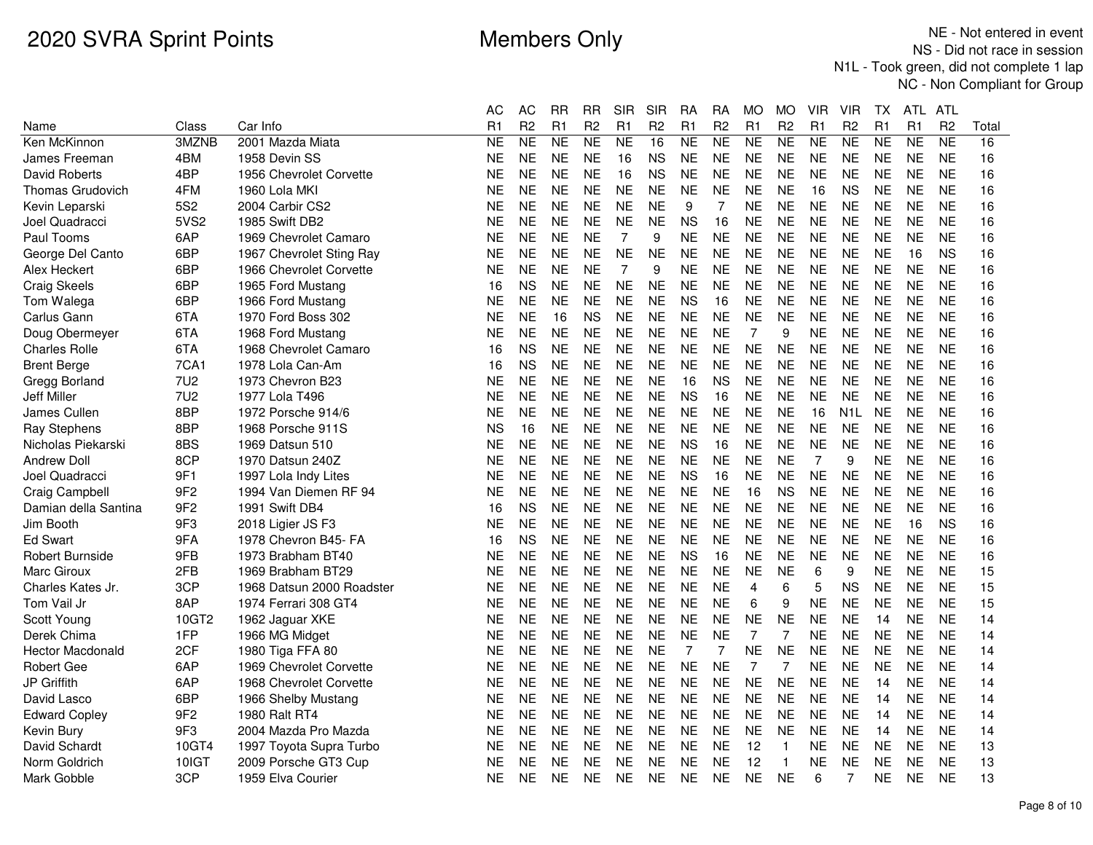|                         |                 |                           | АC        | АC             | <b>RR</b> | RR             | SIR            | SIR            | RA        | RA             | МO             | MO             | VIR            | VIR              | ТX        | ATL.      | ATL            |       |
|-------------------------|-----------------|---------------------------|-----------|----------------|-----------|----------------|----------------|----------------|-----------|----------------|----------------|----------------|----------------|------------------|-----------|-----------|----------------|-------|
| Name                    | Class           | Car Info                  | R1        | R <sub>2</sub> | R1        | R <sub>2</sub> | R <sub>1</sub> | R <sub>2</sub> | R1        | R <sub>2</sub> | R1             | R <sub>2</sub> | R1             | R <sub>2</sub>   | R1        | R1        | R <sub>2</sub> | Total |
| Ken McKinnon            | 3MZNB           | 2001 Mazda Miata          | <b>NE</b> | <b>NE</b>      | <b>NE</b> | NE             | <b>NE</b>      | 16             | NE        | <b>NE</b>      | <b>NE</b>      | <b>NE</b>      | NE             | NE               | <b>NE</b> | <b>NE</b> | <b>NE</b>      | 16    |
| James Freeman           | 4BM             | 1958 Devin SS             | ΝE        | <b>NE</b>      | <b>NE</b> | <b>NE</b>      | 16             | <b>NS</b>      | <b>NE</b> | <b>NE</b>      | <b>NE</b>      | <b>NE</b>      | <b>NE</b>      | <b>NE</b>        | <b>NE</b> | <b>NE</b> | <b>NE</b>      | 16    |
| David Roberts           | 4BP             | 1956 Chevrolet Corvette   | NE        | <b>NE</b>      | <b>NE</b> | <b>NE</b>      | 16             | <b>NS</b>      | <b>NE</b> | <b>NE</b>      | <b>NE</b>      | <b>NE</b>      | <b>NE</b>      | <b>NE</b>        | <b>NE</b> | <b>NE</b> | <b>NE</b>      | 16    |
| <b>Thomas Grudovich</b> | 4FM             | 1960 Lola MKI             | ΝE        | <b>NE</b>      | <b>NE</b> | <b>NE</b>      | <b>NE</b>      | <b>NE</b>      | <b>NE</b> | <b>NE</b>      | <b>NE</b>      | <b>NE</b>      | 16             | <b>NS</b>        | <b>NE</b> | <b>NE</b> | <b>NE</b>      | 16    |
| Kevin Leparski          | 5S <sub>2</sub> | 2004 Carbir CS2           | NΕ        | <b>NE</b>      | <b>NE</b> | <b>NE</b>      | <b>NE</b>      | <b>NE</b>      | 9         | 7              | <b>NE</b>      | <b>NE</b>      | <b>NE</b>      | <b>NE</b>        | <b>NE</b> | <b>NE</b> | <b>NE</b>      | 16    |
| Joel Quadracci          | 5VS2            | 1985 Swift DB2            | ΝE        | <b>NE</b>      | <b>NE</b> | <b>NE</b>      | <b>NE</b>      | <b>NE</b>      | <b>NS</b> | 16             | <b>NE</b>      | <b>NE</b>      | <b>NE</b>      | <b>NE</b>        | <b>NE</b> | <b>NE</b> | <b>NE</b>      | 16    |
| Paul Tooms              | 6AP             | 1969 Chevrolet Camaro     | NE        | <b>NE</b>      | <b>NE</b> | <b>NE</b>      | 7              | 9              | <b>NE</b> | NE             | <b>NE</b>      | <b>NE</b>      | <b>NE</b>      | NE               | <b>NE</b> | <b>NE</b> | <b>NE</b>      | 16    |
| George Del Canto        | 6BP             | 1967 Chevrolet Sting Ray  | <b>NE</b> | <b>NE</b>      | <b>NE</b> | <b>NE</b>      | <b>NE</b>      | <b>NE</b>      | <b>NE</b> | <b>NE</b>      | <b>NE</b>      | <b>NE</b>      | <b>NE</b>      | <b>NE</b>        | <b>NE</b> | 16        | <b>NS</b>      | 16    |
| Alex Heckert            | 6BP             | 1966 Chevrolet Corvette   | NΕ        | <b>NE</b>      | <b>NE</b> | <b>NE</b>      | $\overline{7}$ | 9              | <b>NE</b> | <b>NE</b>      | <b>NE</b>      | <b>NE</b>      | <b>NE</b>      | <b>NE</b>        | <b>NE</b> | <b>NE</b> | <b>NE</b>      | 16    |
| <b>Craig Skeels</b>     | 6BP             | 1965 Ford Mustang         | 16        | <b>NS</b>      | <b>NE</b> | <b>NE</b>      | <b>NE</b>      | <b>NE</b>      | <b>NE</b> | <b>NE</b>      | <b>NE</b>      | <b>NE</b>      | <b>NE</b>      | <b>NE</b>        | <b>NE</b> | <b>NE</b> | <b>NE</b>      | 16    |
| Tom Walega              | 6BP             | 1966 Ford Mustang         | NE        | <b>NE</b>      | <b>NE</b> | <b>NE</b>      | <b>NE</b>      | <b>NE</b>      | <b>NS</b> | 16             | <b>NE</b>      | <b>NE</b>      | <b>NE</b>      | <b>NE</b>        | <b>NE</b> | <b>NE</b> | <b>NE</b>      | 16    |
| Carlus Gann             | 6TA             | 1970 Ford Boss 302        | NE        | <b>NE</b>      | 16        | <b>NS</b>      | <b>NE</b>      | <b>NE</b>      | <b>NE</b> | <b>NE</b>      | <b>NE</b>      | <b>NE</b>      | <b>NE</b>      | <b>NE</b>        | <b>NE</b> | <b>NE</b> | <b>NE</b>      | 16    |
| Doug Obermeyer          | 6TA             | 1968 Ford Mustang         | NE        | <b>NE</b>      | <b>NE</b> | <b>NE</b>      | <b>NE</b>      | <b>NE</b>      | <b>NE</b> | <b>NE</b>      | $\overline{7}$ | 9              | <b>NE</b>      | <b>NE</b>        | <b>NE</b> | <b>NE</b> | <b>NE</b>      | 16    |
| <b>Charles Rolle</b>    | 6TA             | 1968 Chevrolet Camaro     | 16        | <b>NS</b>      | <b>NE</b> | <b>NE</b>      | <b>NE</b>      | <b>NE</b>      | <b>NE</b> | <b>NE</b>      | <b>NE</b>      | <b>NE</b>      | <b>NE</b>      | <b>NE</b>        | <b>NE</b> | <b>NE</b> | <b>NE</b>      | 16    |
| <b>Brent Berge</b>      | 7CA1            | 1978 Lola Can-Am          | 16        | <b>NS</b>      | <b>NE</b> | <b>NE</b>      | <b>NE</b>      | <b>NE</b>      | <b>NE</b> | <b>NE</b>      | <b>NE</b>      | <b>NE</b>      | <b>NE</b>      | <b>NE</b>        | <b>NE</b> | <b>NE</b> | <b>NE</b>      | 16    |
| Gregg Borland           | <b>7U2</b>      | 1973 Chevron B23          | NE        | <b>NE</b>      | <b>NE</b> | <b>NE</b>      | <b>NE</b>      | <b>NE</b>      | 16        | <b>NS</b>      | <b>NE</b>      | <b>NE</b>      | <b>NE</b>      | <b>NE</b>        | <b>NE</b> | <b>NE</b> | <b>NE</b>      | 16    |
| Jeff Miller             | 7U <sub>2</sub> | 1977 Lola T496            | NE        | <b>NE</b>      | <b>NE</b> | <b>NE</b>      | <b>NE</b>      | <b>NE</b>      | <b>NS</b> | 16             | <b>NE</b>      | <b>NE</b>      | <b>NE</b>      | <b>NE</b>        | <b>NE</b> | <b>NE</b> | <b>NE</b>      | 16    |
| James Cullen            | 8BP             | 1972 Porsche 914/6        | ΝE        | <b>NE</b>      | <b>NE</b> | <b>NE</b>      | <b>NE</b>      | <b>NE</b>      | <b>NE</b> | <b>NE</b>      | <b>NE</b>      | <b>NE</b>      | 16             | N <sub>1</sub> L | <b>NE</b> | <b>NE</b> | <b>NE</b>      | 16    |
| <b>Ray Stephens</b>     | 8BP             | 1968 Porsche 911S         | ΝS        | 16             | <b>NE</b> | <b>NE</b>      | <b>NE</b>      | <b>NE</b>      | <b>NE</b> | <b>NE</b>      | <b>NE</b>      | <b>NE</b>      | <b>NE</b>      | <b>NE</b>        | <b>NE</b> | <b>NE</b> | <b>NE</b>      | 16    |
| Nicholas Piekarski      | 8BS             | 1969 Datsun 510           | ΝE        | <b>NE</b>      | <b>NE</b> | <b>NE</b>      | <b>NE</b>      | <b>NE</b>      | <b>NS</b> | 16             | <b>NE</b>      | <b>NE</b>      | <b>NE</b>      | <b>NE</b>        | <b>NE</b> | <b>NE</b> | <b>NE</b>      | 16    |
| <b>Andrew Doll</b>      | 8CP             | 1970 Datsun 240Z          | NΕ        | <b>NE</b>      | <b>NE</b> | <b>NE</b>      | <b>NE</b>      | <b>NE</b>      | <b>NE</b> | <b>NE</b>      | <b>NE</b>      | <b>NE</b>      | $\overline{7}$ | 9                | <b>NE</b> | <b>NE</b> | <b>NE</b>      | 16    |
| Joel Quadracci          | 9F1             | 1997 Lola Indy Lites      | NE        | <b>NE</b>      | <b>NE</b> | <b>NE</b>      | <b>NE</b>      | <b>NE</b>      | <b>NS</b> | 16             | <b>NE</b>      | <b>NE</b>      | <b>NE</b>      | <b>NE</b>        | <b>NE</b> | <b>NE</b> | <b>NE</b>      | 16    |
| Craig Campbell          | 9F <sub>2</sub> | 1994 Van Diemen RF 94     | NE        | <b>NE</b>      | <b>NE</b> | <b>NE</b>      | <b>NE</b>      | <b>NE</b>      | <b>NE</b> | <b>NE</b>      | 16             | <b>NS</b>      | <b>NE</b>      | <b>NE</b>        | <b>NE</b> | <b>NE</b> | <b>NE</b>      | 16    |
| Damian della Santina    | 9F <sub>2</sub> | 1991 Swift DB4            | 16        | <b>NS</b>      | <b>NE</b> | <b>NE</b>      | <b>NE</b>      | <b>NE</b>      | <b>NE</b> | <b>NE</b>      | <b>NE</b>      | <b>NE</b>      | <b>NE</b>      | <b>NE</b>        | <b>NE</b> | <b>NE</b> | <b>NE</b>      | 16    |
| Jim Booth               | 9F3             | 2018 Ligier JS F3         | NE        | <b>NE</b>      | <b>NE</b> | <b>NE</b>      | <b>NE</b>      | <b>NE</b>      | <b>NE</b> | <b>NE</b>      | <b>NE</b>      | <b>NE</b>      | <b>NE</b>      | <b>NE</b>        | <b>NE</b> | 16        | <b>NS</b>      | 16    |
| <b>Ed Swart</b>         | 9FA             | 1978 Chevron B45- FA      | 16        | <b>NS</b>      | <b>NE</b> | <b>NE</b>      | NE.            | <b>NE</b>      | <b>NE</b> | NE             | <b>NE</b>      | <b>NE</b>      | <b>NE</b>      | <b>NE</b>        | <b>NE</b> | <b>NE</b> | <b>NE</b>      | 16    |
| Robert Burnside         | 9FB             | 1973 Brabham BT40         | ΝE        | <b>NE</b>      | <b>NE</b> | <b>NE</b>      | <b>NE</b>      | <b>NE</b>      | <b>NS</b> | 16             | <b>NE</b>      | <b>NE</b>      | <b>NE</b>      | <b>NE</b>        | <b>NE</b> | <b>NE</b> | <b>NE</b>      | 16    |
| Marc Giroux             | 2FB             | 1969 Brabham BT29         | ΝE        | <b>NE</b>      | <b>NE</b> | <b>NE</b>      | NE.            | <b>NE</b>      | <b>NE</b> | <b>NE</b>      | <b>NE</b>      | <b>NE</b>      | 6              | 9                | <b>NE</b> | <b>NE</b> | <b>NE</b>      | 15    |
| Charles Kates Jr.       | 3CP             | 1968 Datsun 2000 Roadster | NE        | <b>NE</b>      | <b>NE</b> | <b>NE</b>      | <b>NE</b>      | <b>NE</b>      | <b>NE</b> | <b>NE</b>      | 4              | 6              | 5              | <b>NS</b>        | <b>NE</b> | <b>NE</b> | <b>NE</b>      | 15    |
| Tom Vail Jr             | 8AP             | 1974 Ferrari 308 GT4      | NE        | <b>NE</b>      | <b>NE</b> | <b>NE</b>      | <b>NE</b>      | <b>NE</b>      | <b>NE</b> | <b>NE</b>      | 6              | 9              | <b>NE</b>      | <b>NE</b>        | <b>NE</b> | <b>NE</b> | <b>NE</b>      | 15    |
| Scott Young             | 10GT2           | 1962 Jaguar XKE           | ΝE        | <b>NE</b>      | <b>NE</b> | <b>NE</b>      | <b>NE</b>      | <b>NE</b>      | <b>NE</b> | <b>NE</b>      | <b>NE</b>      | <b>NE</b>      | <b>NE</b>      | <b>NE</b>        | 14        | <b>NE</b> | <b>NE</b>      | 14    |
| Derek Chima             | 1FP             | 1966 MG Midget            | NΕ        | <b>NE</b>      | <b>NE</b> | <b>NE</b>      | <b>NE</b>      | <b>NE</b>      | <b>NE</b> | <b>NE</b>      | $\overline{7}$ | 7              | <b>NE</b>      | <b>NE</b>        | <b>NE</b> | <b>NE</b> | <b>NE</b>      | 14    |
| <b>Hector Macdonald</b> | 2CF             | 1980 Tiga FFA 80          | NΕ        | <b>NE</b>      | <b>NE</b> | <b>NE</b>      | <b>NE</b>      | <b>NE</b>      | 7         | 7              | <b>NE</b>      | <b>NE</b>      | <b>NE</b>      | <b>NE</b>        | <b>NE</b> | <b>NE</b> | <b>NE</b>      | 14    |
| <b>Robert Gee</b>       | 6AP             | 1969 Chevrolet Corvette   | ΝE        | <b>NE</b>      | <b>NE</b> | <b>NE</b>      | <b>NE</b>      | <b>NE</b>      | <b>NE</b> | <b>NE</b>      | $\overline{7}$ | 7              | <b>NE</b>      | <b>NE</b>        | <b>NE</b> | <b>NE</b> | <b>NE</b>      | 14    |
| JP Griffith             | 6AP             | 1968 Chevrolet Corvette   | NE        | <b>NE</b>      | <b>NE</b> | <b>NE</b>      | <b>NE</b>      | <b>NE</b>      | <b>NE</b> | <b>NE</b>      | <b>NE</b>      | <b>NE</b>      | <b>NE</b>      | <b>NE</b>        | 14        | <b>NE</b> | <b>NE</b>      | 14    |
| David Lasco             | 6BP             | 1966 Shelby Mustang       | NE        | <b>NE</b>      | <b>NE</b> | <b>NE</b>      | <b>NE</b>      | <b>NE</b>      | <b>NE</b> | <b>NE</b>      | <b>NE</b>      | <b>NE</b>      | <b>NE</b>      | <b>NE</b>        | 14        | <b>NE</b> | <b>NE</b>      | 14    |
| <b>Edward Copley</b>    | 9F <sub>2</sub> | 1980 Ralt RT4             | NE        | <b>NE</b>      | <b>NE</b> | <b>NE</b>      | <b>NE</b>      | <b>NE</b>      | <b>NE</b> | <b>NE</b>      | <b>NE</b>      | <b>NE</b>      | <b>NE</b>      | <b>NE</b>        | 14        | <b>NE</b> | <b>NE</b>      | 14    |
| Kevin Bury              | 9F3             | 2004 Mazda Pro Mazda      | NE        | <b>NE</b>      | <b>NE</b> | <b>NE</b>      | <b>NE</b>      | <b>NE</b>      | <b>NE</b> | <b>NE</b>      | <b>NE</b>      | <b>NE</b>      | <b>NE</b>      | <b>NE</b>        | 14        | <b>NE</b> | <b>NE</b>      | 14    |
| David Schardt           | 10GT4           | 1997 Toyota Supra Turbo   | NE        | <b>NE</b>      | <b>NE</b> | <b>NE</b>      | <b>NE</b>      | <b>NE</b>      | <b>NE</b> | <b>NE</b>      | 12             | $\mathbf{1}$   | <b>NE</b>      | <b>NE</b>        | <b>NE</b> | <b>NE</b> | <b>NE</b>      | 13    |
| Norm Goldrich           | 10IGT           | 2009 Porsche GT3 Cup      | NE        | <b>NE</b>      | <b>NE</b> | <b>NE</b>      | <b>NE</b>      | <b>NE</b>      | <b>NE</b> | <b>NE</b>      | 12             | $\mathbf{1}$   | <b>NE</b>      | <b>NE</b>        | <b>NE</b> | <b>NE</b> | <b>NE</b>      | 13    |
| Mark Gobble             | 3CP             | 1959 Elva Courier         | NE        | <b>NE</b>      | <b>NE</b> | <b>NE</b>      | <b>NE</b>      | <b>NE</b>      | <b>NE</b> | <b>NE</b>      | <b>NE</b>      | <b>NE</b>      | 6              | 7                | NΕ        | <b>NE</b> | <b>NE</b>      | 13    |
|                         |                 |                           |           |                |           |                |                |                |           |                |                |                |                |                  |           |           |                |       |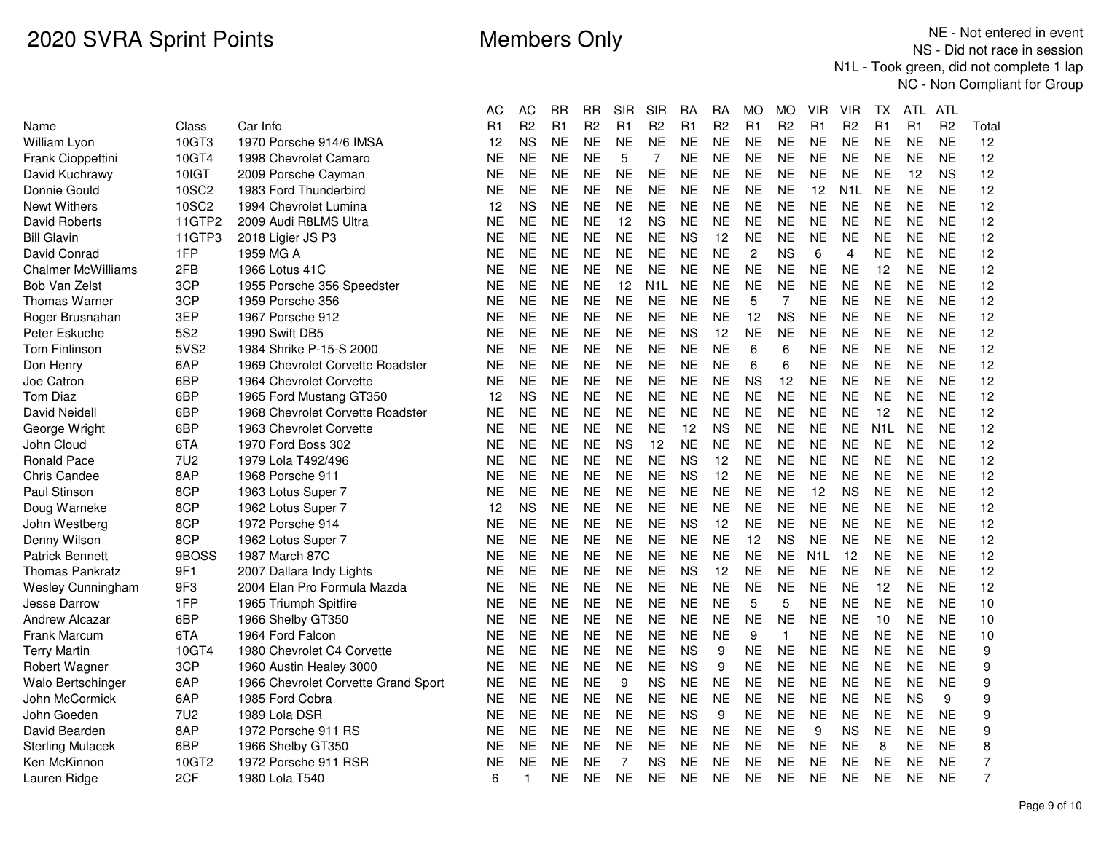|                           |                 |                                     | АC        | AC                     | RR        | RR             | SIR       | <b>SIR</b>       | RA        | RA             | МO             | МO             | VIR              | VIR              | ΙX               | ATL.      | ATL            |       |
|---------------------------|-----------------|-------------------------------------|-----------|------------------------|-----------|----------------|-----------|------------------|-----------|----------------|----------------|----------------|------------------|------------------|------------------|-----------|----------------|-------|
| Name                      | Class           | Car Info                            | R1        | R <sub>2</sub>         | R1        | R <sub>2</sub> | R1        | R <sub>2</sub>   | R1        | R <sub>2</sub> | R1             | R <sub>2</sub> | R1               | R <sub>2</sub>   | R1               | R1        | R <sub>2</sub> | Total |
| <b>William Lyon</b>       | 10GT3           | 1970 Porsche 914/6 IMSA             | 12        | $\overline{\text{NS}}$ | <b>NE</b> | <b>NE</b>      | <b>NE</b> | <b>NE</b>        | <b>NE</b> | <b>NE</b>      | NE             | <b>NE</b>      | <b>NE</b>        | <b>NE</b>        | <b>NE</b>        | NE        | <b>NE</b>      | 12    |
| Frank Cioppettini         | 10GT4           | 1998 Chevrolet Camaro               | <b>NE</b> | <b>NE</b>              | <b>NE</b> | <b>NE</b>      | 5         | 7                | <b>NE</b> | <b>NE</b>      | <b>NE</b>      | <b>NE</b>      | <b>NE</b>        | <b>NE</b>        | <b>NE</b>        | <b>NE</b> | <b>NE</b>      | 12    |
| David Kuchrawy            | 10IGT           | 2009 Porsche Cayman                 | <b>NE</b> | <b>NE</b>              | <b>NE</b> | NΕ             | <b>NE</b> | <b>NE</b>        | <b>NE</b> | <b>NE</b>      | <b>NE</b>      | NΕ             | <b>NE</b>        | <b>NE</b>        | <b>NE</b>        | 12        | <b>NS</b>      | 12    |
| Donnie Gould              | 10SC2           | 1983 Ford Thunderbird               | <b>NE</b> | <b>NE</b>              | <b>NE</b> | <b>NE</b>      | <b>NE</b> | <b>NE</b>        | <b>NE</b> | <b>NE</b>      | <b>NE</b>      | <b>NE</b>      | 12               | N <sub>1</sub> L | <b>NE</b>        | <b>NE</b> | <b>NE</b>      | 12    |
| <b>Newt Withers</b>       | <b>10SC2</b>    | 1994 Chevrolet Lumina               | 12        | <b>NS</b>              | <b>NE</b> | <b>NE</b>      | <b>NE</b> | <b>NE</b>        | <b>NE</b> | <b>NE</b>      | <b>NE</b>      | <b>NE</b>      | <b>NE</b>        | <b>NE</b>        | <b>NE</b>        | <b>NE</b> | <b>NE</b>      | 12    |
| David Roberts             | 11GTP2          | 2009 Audi R8LMS Ultra               | <b>NE</b> | <b>NE</b>              | <b>NE</b> | <b>NE</b>      | 12        | <b>NS</b>        | <b>NE</b> | <b>NE</b>      | <b>NE</b>      | <b>NE</b>      | <b>NE</b>        | <b>NE</b>        | <b>NE</b>        | <b>NE</b> | <b>NE</b>      | 12    |
| <b>Bill Glavin</b>        | 11GTP3          | 2018 Ligier JS P3                   | NE        | <b>NE</b>              | <b>NE</b> | <b>NE</b>      | <b>NE</b> | <b>NE</b>        | <b>NS</b> | 12             | <b>NE</b>      | NE             | <b>NE</b>        | <b>NE</b>        | <b>NE</b>        | <b>NE</b> | <b>NE</b>      | 12    |
| David Conrad              | 1FP             | 1959 MG A                           | <b>NE</b> | <b>NE</b>              | <b>NE</b> | <b>NE</b>      | <b>NE</b> | <b>NE</b>        | <b>NE</b> | <b>NE</b>      | $\overline{c}$ | <b>NS</b>      | 6                | 4                | <b>NE</b>        | <b>NE</b> | <b>NE</b>      | 12    |
| <b>Chalmer McWilliams</b> | 2FB             | 1966 Lotus 41C                      | NE        | <b>NE</b>              | <b>NE</b> | <b>NE</b>      | <b>NE</b> | <b>NE</b>        | <b>NE</b> | <b>NE</b>      | <b>NE</b>      | <b>NE</b>      | <b>NE</b>        | <b>NE</b>        | 12               | <b>NE</b> | <b>NE</b>      | 12    |
| Bob Van Zelst             | 3CP             | 1955 Porsche 356 Speedster          | NE        | <b>NE</b>              | <b>NE</b> | <b>NE</b>      | 12        | N <sub>1</sub> L | <b>NE</b> | <b>NE</b>      | <b>NE</b>      | <b>NE</b>      | <b>NE</b>        | <b>NE</b>        | <b>NE</b>        | <b>NE</b> | <b>NE</b>      | 12    |
| <b>Thomas Warner</b>      | 3CP             | 1959 Porsche 356                    | NΕ        | <b>NE</b>              | <b>NE</b> | <b>NE</b>      | <b>NE</b> | NE.              | <b>NE</b> | <b>NE</b>      | 5              | 7              | <b>NE</b>        | <b>NE</b>        | <b>NE</b>        | <b>NE</b> | <b>NE</b>      | 12    |
| Roger Brusnahan           | 3EP             | 1967 Porsche 912                    | <b>NE</b> | <b>NE</b>              | <b>NE</b> | <b>NE</b>      | <b>NE</b> | <b>NE</b>        | <b>NE</b> | <b>NE</b>      | 12             | <b>NS</b>      | <b>NE</b>        | <b>NE</b>        | <b>NE</b>        | <b>NE</b> | <b>NE</b>      | 12    |
| Peter Eskuche             | 5S <sub>2</sub> | 1990 Swift DB5                      | NE        | <b>NE</b>              | <b>NE</b> | <b>NE</b>      | <b>NE</b> | <b>NE</b>        | <b>NS</b> | 12             | <b>NE</b>      | <b>NE</b>      | <b>NE</b>        | <b>NE</b>        | <b>NE</b>        | <b>NE</b> | <b>NE</b>      | 12    |
| Tom Finlinson             | 5VS2            | 1984 Shrike P-15-S 2000             | NE        | <b>NE</b>              | <b>NE</b> | <b>NE</b>      | <b>NE</b> | <b>NE</b>        | <b>NE</b> | <b>NE</b>      | 6              | 6              | <b>NE</b>        | <b>NE</b>        | <b>NE</b>        | <b>NE</b> | <b>NE</b>      | 12    |
| Don Henry                 | 6AP             | 1969 Chevrolet Corvette Roadster    | <b>NE</b> | <b>NE</b>              | <b>NE</b> | <b>NE</b>      | <b>NE</b> | <b>NE</b>        | <b>NE</b> | <b>NE</b>      | 6              | 6              | <b>NE</b>        | <b>NE</b>        | <b>NE</b>        | <b>NE</b> | <b>NE</b>      | 12    |
| Joe Catron                | 6BP             | 1964 Chevrolet Corvette             | <b>NE</b> | <b>NE</b>              | <b>NE</b> | <b>NE</b>      | <b>NE</b> | <b>NE</b>        | <b>NE</b> | <b>NE</b>      | <b>NS</b>      | 12             | <b>NE</b>        | <b>NE</b>        | <b>NE</b>        | <b>NE</b> | <b>NE</b>      | 12    |
| <b>Tom Diaz</b>           | 6BP             | 1965 Ford Mustang GT350             | 12        | <b>NS</b>              | <b>NE</b> | <b>NE</b>      | <b>NE</b> | <b>NE</b>        | <b>NE</b> | <b>NE</b>      | <b>NE</b>      | <b>NE</b>      | <b>NE</b>        | <b>NE</b>        | <b>NE</b>        | <b>NE</b> | <b>NE</b>      | 12    |
| David Neidell             | 6BP             | 1968 Chevrolet Corvette Roadster    | <b>NE</b> | <b>NE</b>              | <b>NE</b> | <b>NE</b>      | <b>NE</b> | <b>NE</b>        | <b>NE</b> | <b>NE</b>      | <b>NE</b>      | <b>NE</b>      | <b>NE</b>        | <b>NE</b>        | 12               | <b>NE</b> | <b>NE</b>      | 12    |
| George Wright             | 6BP             | 1963 Chevrolet Corvette             | <b>NE</b> | <b>NE</b>              | <b>NE</b> | <b>NE</b>      | <b>NE</b> | <b>NE</b>        | 12        | <b>NS</b>      | <b>NE</b>      | <b>NE</b>      | <b>NE</b>        | <b>NE</b>        | N <sub>1</sub> L | <b>NE</b> | <b>NE</b>      | 12    |
| John Cloud                | 6TA             | 1970 Ford Boss 302                  | NE        | <b>NE</b>              | <b>NE</b> | <b>NE</b>      | <b>NS</b> | 12               | <b>NE</b> | <b>NE</b>      | <b>NE</b>      | <b>NE</b>      | <b>NE</b>        | <b>NE</b>        | <b>NE</b>        | <b>NE</b> | <b>NE</b>      | 12    |
| <b>Ronald Pace</b>        | 7U <sub>2</sub> | 1979 Lola T492/496                  | <b>NE</b> | <b>NE</b>              | <b>NE</b> | <b>NE</b>      | <b>NE</b> | <b>NE</b>        | <b>NS</b> | 12             | <b>NE</b>      | <b>NE</b>      | <b>NE</b>        | <b>NE</b>        | <b>NE</b>        | <b>NE</b> | <b>NE</b>      | 12    |
| <b>Chris Candee</b>       | 8AP             | 1968 Porsche 911                    | NE        | <b>NE</b>              | <b>NE</b> | <b>NE</b>      | <b>NE</b> | <b>NE</b>        | <b>NS</b> | 12             | <b>NE</b>      | NE             | <b>NE</b>        | <b>NE</b>        | <b>NE</b>        | <b>NE</b> | <b>NE</b>      | 12    |
| Paul Stinson              | 8CP             | 1963 Lotus Super 7                  | ΝE        | <b>NE</b>              | <b>NE</b> | <b>NE</b>      | <b>NE</b> | <b>NE</b>        | <b>NE</b> | <b>NE</b>      | <b>NE</b>      | <b>NE</b>      | 12               | <b>NS</b>        | <b>NE</b>        | <b>NE</b> | <b>NE</b>      | 12    |
| Doug Warneke              | 8CP             | 1962 Lotus Super 7                  | 12        | <b>NS</b>              | <b>NE</b> | <b>NE</b>      | <b>NE</b> | <b>NE</b>        | <b>NE</b> | <b>NE</b>      | <b>NE</b>      | <b>NE</b>      | <b>NE</b>        | <b>NE</b>        | <b>NE</b>        | <b>NE</b> | <b>NE</b>      | 12    |
| John Westberg             | 8CP             | 1972 Porsche 914                    | NE        | <b>NE</b>              | <b>NE</b> | <b>NE</b>      | <b>NE</b> | <b>NE</b>        | <b>NS</b> | 12             | <b>NE</b>      | <b>NE</b>      | <b>NE</b>        | <b>NE</b>        | <b>NE</b>        | <b>NE</b> | <b>NE</b>      | 12    |
| Denny Wilson              | 8CP             | 1962 Lotus Super 7                  | NE        | <b>NE</b>              | <b>NE</b> | <b>NE</b>      | <b>NE</b> | <b>NE</b>        | <b>NE</b> | <b>NE</b>      | 12             | ΝS             | <b>NE</b>        | <b>NE</b>        | <b>NE</b>        | <b>NE</b> | <b>NE</b>      | 12    |
| <b>Patrick Bennett</b>    | 9BOSS           | 1987 March 87C                      | <b>NE</b> | <b>NE</b>              | <b>NE</b> | <b>NE</b>      | <b>NE</b> | <b>NE</b>        | <b>NE</b> | <b>NE</b>      | <b>NE</b>      | <b>NE</b>      | N <sub>1</sub> L | 12               | <b>NE</b>        | <b>NE</b> | <b>NE</b>      | 12    |
| <b>Thomas Pankratz</b>    | 9F1             | 2007 Dallara Indy Lights            | ΝE        | <b>NE</b>              | <b>NE</b> | <b>NE</b>      | <b>NE</b> | <b>NE</b>        | <b>NS</b> | 12             | <b>NE</b>      | <b>NE</b>      | <b>NE</b>        | <b>NE</b>        | <b>NE</b>        | <b>NE</b> | <b>NE</b>      | 12    |
| Wesley Cunningham         | 9F3             | 2004 Elan Pro Formula Mazda         | NE        | <b>NE</b>              | <b>NE</b> | <b>NE</b>      | <b>NE</b> | <b>NE</b>        | <b>NE</b> | <b>NE</b>      | <b>NE</b>      | <b>NE</b>      | <b>NE</b>        | <b>NE</b>        | 12               | <b>NE</b> | <b>NE</b>      | 12    |
| Jesse Darrow              | 1FP             | 1965 Triumph Spitfire               | NE        | <b>NE</b>              | <b>NE</b> | <b>NE</b>      | <b>NE</b> | <b>NE</b>        | <b>NE</b> | <b>NE</b>      | 5              | 5              | <b>NE</b>        | <b>NE</b>        | <b>NE</b>        | <b>NE</b> | <b>NE</b>      | 10    |
| <b>Andrew Alcazar</b>     | 6BP             | 1966 Shelby GT350                   | <b>NE</b> | <b>NE</b>              | <b>NE</b> | <b>NE</b>      | <b>NE</b> | <b>NE</b>        | <b>NE</b> | <b>NE</b>      | <b>NE</b>      | <b>NE</b>      | <b>NE</b>        | <b>NE</b>        | 10               | <b>NE</b> | <b>NE</b>      | 10    |
| Frank Marcum              | 6TA             | 1964 Ford Falcon                    | <b>NE</b> | <b>NE</b>              | <b>NE</b> | <b>NE</b>      | <b>NE</b> | <b>NE</b>        | <b>NE</b> | <b>NE</b>      | 9              | $\mathbf{1}$   | <b>NE</b>        | <b>NE</b>        | <b>NE</b>        | <b>NE</b> | <b>NE</b>      | 10    |
| <b>Terry Martin</b>       | 10GT4           | 1980 Chevrolet C4 Corvette          | <b>NE</b> | <b>NE</b>              | <b>NE</b> | <b>NE</b>      | <b>NE</b> | <b>NE</b>        | <b>NS</b> | 9              | <b>NE</b>      | <b>NE</b>      | <b>NE</b>        | <b>NE</b>        | <b>NE</b>        | <b>NE</b> | <b>NE</b>      | 9     |
| Robert Wagner             | 3CP             | 1960 Austin Healey 3000             | <b>NE</b> | <b>NE</b>              | <b>NE</b> | <b>NE</b>      | <b>NE</b> | <b>NE</b>        | <b>NS</b> | 9              | <b>NE</b>      | <b>NE</b>      | <b>NE</b>        | <b>NE</b>        | <b>NE</b>        | <b>NE</b> | <b>NE</b>      | 9     |
| Walo Bertschinger         | 6AP             | 1966 Chevrolet Corvette Grand Sport | <b>NE</b> | <b>NE</b>              | <b>NE</b> | <b>NE</b>      | 9         | <b>NS</b>        | <b>NE</b> | <b>NE</b>      | <b>NE</b>      | <b>NE</b>      | <b>NE</b>        | <b>NE</b>        | <b>NE</b>        | <b>NE</b> | <b>NE</b>      | 9     |
| John McCormick            | 6AP             | 1985 Ford Cobra                     | <b>NE</b> | <b>NE</b>              | <b>NE</b> | <b>NE</b>      | <b>NE</b> | <b>NE</b>        | <b>NE</b> | <b>NE</b>      | <b>NE</b>      | <b>NE</b>      | <b>NE</b>        | <b>NE</b>        | <b>NE</b>        | <b>NS</b> | 9              | 9     |
| John Goeden               | 7U <sub>2</sub> | 1989 Lola DSR                       | NE        | <b>NE</b>              | <b>NE</b> | <b>NE</b>      | <b>NE</b> | <b>NE</b>        | <b>NS</b> | 9              | <b>NE</b>      | NΕ.            | <b>NE</b>        | <b>NE</b>        | <b>NE</b>        | <b>NE</b> | <b>NE</b>      | 9     |
| David Bearden             | 8AP             | 1972 Porsche 911 RS                 | <b>NE</b> | <b>NE</b>              | <b>NE</b> | <b>NE</b>      | <b>NE</b> | <b>NE</b>        | <b>NE</b> | <b>NE</b>      | <b>NE</b>      | <b>NE</b>      | 9                | <b>NS</b>        | <b>NE</b>        | <b>NE</b> | <b>NE</b>      | 9     |
| <b>Sterling Mulacek</b>   | 6BP             | 1966 Shelby GT350                   | ΝE        | <b>NE</b>              | <b>NE</b> | <b>NE</b>      | <b>NE</b> | <b>NE</b>        | <b>NE</b> | <b>NE</b>      | <b>NE</b>      | <b>NE</b>      | <b>NE</b>        | <b>NE</b>        | 8                | <b>NE</b> | <b>NE</b>      | 8     |
| Ken McKinnon              | 10GT2           | 1972 Porsche 911 RSR                | ΝE        | <b>NE</b>              | <b>NE</b> | <b>NE</b>      | 7         | <b>NS</b>        | <b>NE</b> | <b>NE</b>      | <b>NE</b>      | <b>NE</b>      | <b>NE</b>        | <b>NE</b>        | <b>NE</b>        | <b>NE</b> | <b>NE</b>      | 7     |
| Lauren Ridge              | 2CF             | 1980 Lola T540                      | 6         | 1                      | <b>NE</b> | <b>NE</b>      | <b>NE</b> | NE.              | <b>NE</b> | <b>NE</b>      | <b>NE</b>      | NE             | <b>NE</b>        | <b>NE</b>        | <b>NE</b>        | <b>NE</b> | <b>NE</b>      | 7     |
|                           |                 |                                     |           |                        |           |                |           |                  |           |                |                |                |                  |                  |                  |           |                |       |